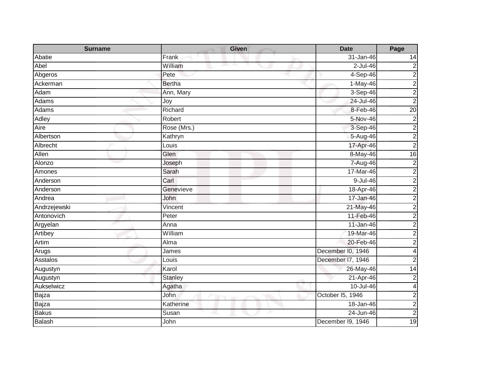| <b>Surname</b> | <b>Given</b>   | <b>Date</b>       | Page            |
|----------------|----------------|-------------------|-----------------|
| Abatie         | Frank          | 31-Jan-46         | 14              |
| Abel           | William        | $2$ -Jul-46       | $\overline{c}$  |
| Abgeros        | Pete           | 4-Sep-46          | $\overline{2}$  |
| Ackerman       | <b>Bertha</b>  | $1-May-46$        | $\overline{c}$  |
| Adam           | Ann, Mary      | 3-Sep-46          | $\overline{c}$  |
| Adams          | Joy            | 24-Jul-46         | $\overline{2}$  |
| Adams          | Richard        | 8-Feb-46          | $\overline{20}$ |
| Adley          | Robert         | 5-Nov-46          | $\overline{c}$  |
| Aire           | Rose (Mrs.)    | 3-Sep-46          | $\overline{c}$  |
| Albertson      | Kathryn        | 5-Aug-46          | $\overline{c}$  |
| Albrecht       | Louis          | 17-Apr-46         | $\overline{c}$  |
| Allen          | Glen           | 8-May-46          | 16              |
| Alonzo         | Joseph         | 7-Aug-46          | $\overline{2}$  |
| Amones         | Sarah          | 17-Mar-46         | $\overline{c}$  |
| Anderson       | Carl           | 9-Jul-46          | $\overline{c}$  |
| Anderson       | Genevieve      | 18-Apr-46         | $\overline{2}$  |
| Andrea         | John           | 17-Jan-46         | $\overline{c}$  |
| Andrzejewski   | Vincent        | 21-May-46         | $\overline{c}$  |
| Antonovich     | Peter          | 11-Feb-46         | $\overline{a}$  |
| Argyelan       | Anna           | 11-Jan-46         | $\overline{c}$  |
| Artibey        | William        | 19-Mar-46         | $\overline{c}$  |
| Artim          | Alma           | 20-Feb-46         | $\overline{c}$  |
| Arugs          | James          | December I0, 1946 | 4               |
| Asstalos       | Louis          | December 17, 1946 | $\overline{2}$  |
| Augustyn       | Karol          | 26-May-46         | 14              |
| Augustyn       | <b>Stanley</b> | 21-Apr-46         | $\overline{c}$  |
| Aukselwicz     | Agatha         | 10-Jul-46         | $\overline{4}$  |
| Bajza          | John           | October 15, 1946  | $\overline{c}$  |
| Bajza          | Katherine      | 18-Jan-46         | $\overline{c}$  |
| <b>Bakus</b>   | Susan          | 24-Jun-46         | $\overline{c}$  |
| <b>Balash</b>  | John           | December 19, 1946 | 19              |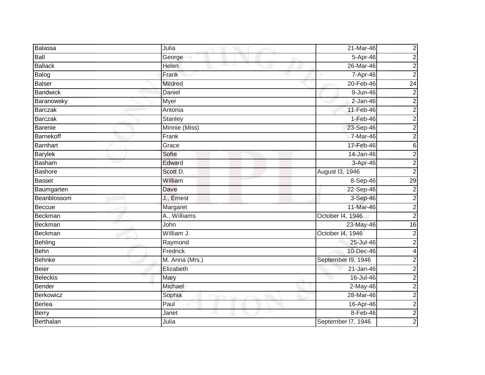| Balassa          | Julia             | 21-Mar-46          | $\overline{\mathbf{c}}$ |
|------------------|-------------------|--------------------|-------------------------|
| Ball             | George            | 5-Apr-46           | $\mathbf 2$             |
| <b>Ballack</b>   | Helen             | 26-Mar-46          | 2                       |
| Balog            | Frank             | 7-Apr-46           | $\overline{2}$          |
| <b>Balser</b>    | <b>Mildred</b>    | 20-Feb-46          | $\overline{24}$         |
| <b>Bandwick</b>  | Daniel            | 9-Jun-46           | 2                       |
| Baranowsky       | Myer              | $2-Jan-46$         | $\overline{2}$          |
| <b>Barczak</b>   | Antonia           | 11-Feb-46          | $\overline{\mathbf{c}}$ |
| <b>Barczak</b>   | <b>Stanley</b>    | $1-Feb-46$         | 2                       |
| <b>Barenie</b>   | Minnie (Miss)     | 23-Sep-46          | $\overline{\mathbf{c}}$ |
| <b>Barnekoff</b> | Frank             | 7-Mar-46           | $\overline{\mathbf{c}}$ |
| Barnhart         | Grace             | 17-Feb-46          | 6                       |
| <b>Barylek</b>   | Sofie             | 14-Jan-46          | $\overline{2}$          |
| Basham           | Edward            | 3-Apr-46           | $\overline{c}$          |
| <b>Bashore</b>   | Scott D.          | August 13, 1946    | $\overline{2}$          |
| <b>Basset</b>    | William           | 8-Sep-46           | 29                      |
| Baumgarten       | Dave              | 22-Sep-46          | $\overline{2}$          |
| Beanblossom      | J., Ernest        | 3-Sep-46           | $\overline{\mathbf{c}}$ |
| <b>Beccue</b>    | Margaret          | 11-Mar-46          | $\overline{2}$          |
| Beckman          | A., Williams      | October 14, 1946   | $\overline{2}$          |
| Beckman          | $\overline{John}$ | 23-May-46          | 16                      |
| <b>Beckman</b>   | William J.        | October I4, 1946   | $\mathbf 2$             |
| Behling          | Raymond           | 25-Jul-46          | $\overline{2}$          |
| Behn             | Fredrick          | 10-Dec-46          | 4                       |
| <b>Behnke</b>    | M. Anna (Mrs.)    | September I9, 1946 | $\overline{\mathbf{c}}$ |
| Beier            | Elizabeth         | $21 - Jan-46$      | $\overline{c}$          |
| <b>Beleckis</b>  | Mary              | 16-Jul-46          | $\overline{2}$          |
| Bender           | Michael           | 2-May-46           | $\mathbf 2$             |
| Berkowicz        | Sophia            | 28-Mar-46          | $\overline{c}$          |
| Berlea           | Paul              | 16-Apr-46          | $\overline{\mathbf{c}}$ |
| Berry            | Janet             | 8-Feb-46           | $\overline{\mathbf{c}}$ |
| Berthalan        | Julia             | September I7, 1946 | $\overline{c}$          |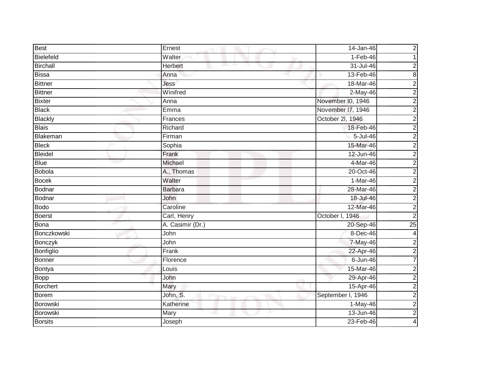| <b>Best</b>     | Ernest           | 14-Jan-46         | $\overline{\mathbf{c}}$ |
|-----------------|------------------|-------------------|-------------------------|
| Bielefeld       | Walter           | $1-Feb-46$        |                         |
| <b>Birchall</b> | Herbert          | 31-Jul-46         | 2                       |
| Bissa           | Anna             | 13-Feb-46         | $\bf 8$                 |
| <b>Bittner</b>  | Jess             | 18-Mar-46         | $\overline{c}$          |
| <b>Bittner</b>  | Winifred         | $2-May-46$        | $\overline{c}$          |
| <b>Bixter</b>   | Anna             | November I0, 1946 | $\overline{a}$          |
| <b>Black</b>    | E <sub>mma</sub> | November I7, 1946 | $\overline{a}$          |
| <b>Blackly</b>  | Frances          | October 2l, 1946  | $\overline{c}$          |
| <b>Blais</b>    | Richard          | 18-Feb-46         | $\overline{c}$          |
| Blakeman        | Firman           | 5-Jul-46          | $\overline{c}$          |
| <b>Bleck</b>    | Sophia           | 15-Mar-46         | $\overline{c}$          |
| <b>Bleidel</b>  | Frank            | 12-Jun-46         | $\overline{c}$          |
| <b>Blue</b>     | Michael          | 4-Mar-46          | $\overline{a}$          |
| <b>Bobola</b>   | A., Thomas       | 20-Oct-46         | $\overline{c}$          |
| <b>Bocek</b>    | Walter           | 1-Mar-46          | $\overline{c}$          |
| Bodnar          | <b>Barbara</b>   | 28-Mar-46         | $\overline{2}$          |
| Bodnar          | John             | 18-Jul-46         | $\overline{\mathbf{c}}$ |
| <b>Bodo</b>     | Caroline         | 12-Mar-46         | $\overline{2}$          |
| <b>Boerst</b>   | Carl, Henry      | October I, 1946   | $\overline{2}$          |
| Bona            | A. Casimir (Dr.) | 20-Sep-46         | 25                      |
| Bonczkowski     | John             | 8-Dec-46          | 4                       |
| Bonczyk         | John             | 7-May-46          | $\overline{2}$          |
| Bonfiglio       | Frank            | 22-Apr-46         | $\overline{c}$          |
| <b>Bonner</b>   | Florence         | $6 - Jun-46$      | $\overline{7}$          |
| Bontya          | Louis            | 15-Mar-46         | $\overline{a}$          |
| Bopp            | John             | 29-Apr-46         | $\overline{c}$          |
| <b>Borchert</b> | Mary             | 15-Apr-46         | $\overline{c}$          |
| <b>Borem</b>    | John, S.         | September I, 1946 | $\overline{a}$          |
| Borowski        | Katherine        | 1-May-46          | $\overline{\mathbf{c}}$ |
| Borowski        | Mary             | $13 - Jun-46$     | $\overline{2}$          |
| <b>Borsits</b>  | Joseph           | 23-Feb-46         | 4                       |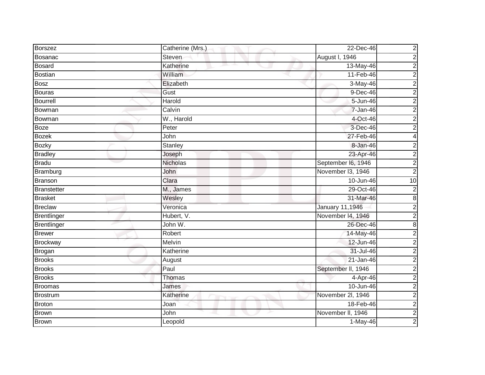| Borszez            | Catherine (Mrs.) | 22-Dec-46              | 2                       |
|--------------------|------------------|------------------------|-------------------------|
| Bosanac            | Steven           | August I, 1946         | $\overline{\mathbf{c}}$ |
| Bosard             | Katherine<br>m.  | 13-May-46              | 2                       |
| Bostian            | William          | 11-Feb-46              | $\overline{c}$          |
| <b>Bosz</b>        | Elizabeth        | 3-May-46               | $\overline{\mathbf{c}}$ |
| Bouras             | Gust             | 9-Dec-46               | 2                       |
| <b>Bourrell</b>    | Harold           | 5-Jun-46               | $\overline{c}$          |
| Bowman             | Calvin           | 7-Jan-46               | $\overline{\mathbf{c}}$ |
| Bowman             | W., Harold       | 4-Oct-46               | $\overline{c}$          |
| Boze               | Peter            | 3-Dec-46               | $\mathbf 2$             |
| <b>Bozek</b>       | John             | 27-Feb-46              | 4                       |
| <b>Bozky</b>       | Stanley          | 8-Jan-46               | $\overline{c}$          |
| <b>Bradley</b>     | Joseph           | 23-Apr-46              | $\overline{2}$          |
| <b>Bradu</b>       | <b>Nicholas</b>  | September I6, 1946     | $\overline{c}$          |
| Bramburg           | John             | November 13, 1946      | 2                       |
| <b>Branson</b>     | Clara            | 10-Jun-46              | 10                      |
| Branstetter        | M., James        | 29-Oct-46              | $\mathbf 2$             |
| <b>Brasket</b>     | Wesley           | 31-Mar-46              | 8                       |
| <b>Breclaw</b>     | Veronica         | <b>January 11,1946</b> | $\overline{c}$          |
| Brentlinger        | Hubert, V.       | November 14, 1946      | $\overline{c}$          |
| <b>Brentlinger</b> | John W.          | 26-Dec-46              | 8                       |
| <b>Brewer</b>      | Robert           | 14-May-46              | $\mathbf 2$             |
| <b>Brockway</b>    | Melvin           | 12-Jun-46              | $\overline{c}$          |
| Brogan             | Katherine        | 31-Jul-46              | $\overline{c}$          |
| <b>Brooks</b>      | August           | 21-Jan-46              | $\overline{c}$          |
| <b>Brooks</b>      | Paul             | September II, 1946     | $\overline{2}$          |
| <b>Brooks</b>      | Thomas           | 4-Apr-46               | $\overline{c}$          |
| <b>Broomas</b>     | James            | 10-Jun-46              | $\overline{2}$          |
| <b>Brostrum</b>    | Katherine        | November 2l, 1946      | $\overline{2}$          |
| <b>Broton</b>      | Joan             | 18-Feb-46              | $\overline{\mathbf{c}}$ |
| <b>Brown</b>       | John             | November II, 1946      | $\overline{2}$          |
| <b>Brown</b>       | Leopold          | $1-May-46$             | 2                       |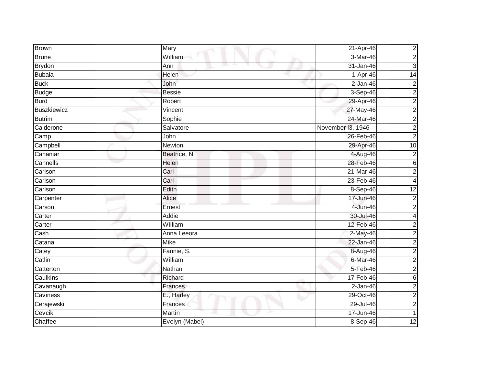| <b>Brown</b>       | Mary                  | 21-Apr-46         | $\overline{c}$  |
|--------------------|-----------------------|-------------------|-----------------|
| <b>Brune</b>       | William               | 3-Mar-46          | $\overline{c}$  |
| <b>Brydon</b>      | Ann<br>m.             | 31-Jan-46         | 3               |
| <b>Bubala</b>      | Helen                 | 1-Apr-46          | 14              |
| <b>Buck</b>        | John                  | $2-Jan-46$        | 2               |
| <b>Budge</b>       | <b>Bessie</b>         | 3-Sep-46          | $\overline{c}$  |
| <b>Burd</b>        | Robert                | 29-Apr-46         | $\overline{c}$  |
| <b>Buszkiewicz</b> | $\overline{V}$ incent | 27-May-46         | $\overline{c}$  |
| <b>Butrim</b>      | Sophie                | 24-Mar-46         | $\overline{c}$  |
| Calderone          | Salvatore             | November I3, 1946 | $\overline{2}$  |
| Camp               | John                  | 26-Feb-46         | $\overline{c}$  |
| Campbell           | Newton                | 29-Apr-46         | $\overline{10}$ |
| Cananiar           | Beatrice, N.          | 4-Aug-46          | $\overline{c}$  |
| Cannells           | Helen                 | 28-Feb-46         | 6               |
| Carlson            | Carl                  | 21-Mar-46         | $\overline{c}$  |
| Carlson            | Carl                  | 23-Feb-46         | 4               |
| Carlson            | Edith                 | 8-Sep-46          | $\overline{12}$ |
| Carpenter          | Alice                 | 17-Jun-46         | $\overline{c}$  |
| Carson             | Ernest                | 4-Jun-46          | $\overline{c}$  |
| Carter             | Addie                 | 30-Jul-46         | 4               |
| Carter             | William               | 12-Feb-46         | 2               |
| Cash               | Anna Leeora           | 2-May-46          | $\overline{c}$  |
| Catana             | <b>Mike</b>           | 22-Jan-46         | $\overline{2}$  |
| Catey              | Fannie, S.            | 8-Aug-46          | $\overline{c}$  |
| Catlin             | William               | 6-Mar-46          | $\overline{c}$  |
| Catterton          | Nathan                | 5-Feb-46          | $\overline{c}$  |
| Caulkins           | Richard               | 17-Feb-46         | 6               |
| Cavanaugh          | Frances               | $2$ -Jan-46       | $\overline{c}$  |
| Caviness           | E., Harley            | 29-Oct-46         | $\overline{a}$  |
| Cerajewski         | Frances               | $29 -$ Jul-46     | $\overline{c}$  |
| Cevcik             | Martin                | 17-Jun-46         |                 |
| Chaffee            | Evelyn (Mabel)        | 8-Sep-46          | $\overline{12}$ |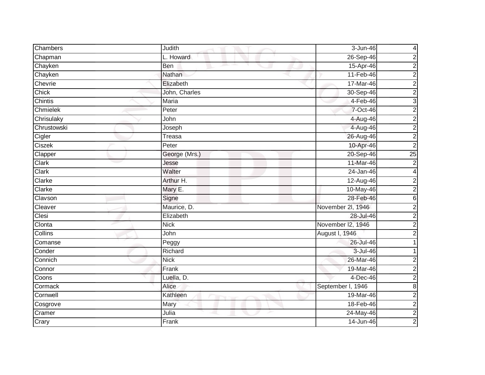| Chambers       | Judith                         | 3-Jun-46          | 4                       |
|----------------|--------------------------------|-------------------|-------------------------|
| Chapman        | L. Howard                      | 26-Sep-46         | $\overline{c}$          |
| Chayken        | Ben                            | 15-Apr-46         | $\overline{2}$          |
| Chayken        | Nathan                         | 11-Feb-46         | $\overline{c}$          |
| Chevrie        | Elizabeth                      | 17-Mar-46         | $\overline{2}$          |
| Chick          | John, Charles                  | 30-Sep-46         | $\overline{c}$          |
| Chintis        | Maria                          | $4-Feb-46$        | 3                       |
| Chmielek       | Peter                          | 7-Oct-46          | $\overline{c}$          |
| Chrisulaky     | John                           | 4-Aug-46          | $\overline{c}$          |
| Chrustowski    | Joseph                         | 4-Aug-46          | $\overline{2}$          |
| Cigler         | <b>Treasa</b>                  | 26-Aug-46         | $\overline{c}$          |
| Ciszek         | Peter                          | 10-Apr-46         | $\overline{c}$          |
| Clapper        | George (Mrs.)                  | 20-Sep-46         | 25                      |
| Clark          | Jesse                          | 11-Mar-46         | $\overline{c}$          |
| <b>Clark</b>   | Walter                         | $24$ -Jan-46      | 4                       |
| Clarke         | Arthur H.                      | 12-Aug-46         | $\overline{c}$          |
| Clarke         | Mary E.                        | 10-May-46         | $\overline{2}$          |
| Clavson        | Signe                          | 28-Feb-46         | $6\phantom{1}$          |
| Cleaver        | Maurice, D.                    | November 2l, 1946 | $\overline{c}$          |
| Clesi          | Elizabeth                      | 28-Jul-46         | $\overline{2}$          |
| Clonta         | <b>Nick</b>                    | November I2, 1946 | $\overline{c}$          |
| <b>Collins</b> | John                           | August I, 1946    | 2                       |
| Comanse        | Peggy                          | 26-Jul-46         |                         |
| Conder         | Richard                        | 3-Jul-46          |                         |
| Connich        | <b>Nick</b>                    | 26-Mar-46         | 2                       |
| Connor         | Frank                          | 19-Mar-46         | $\overline{c}$          |
| Coons          | Luella, D.                     | 4-Dec-46          | $\overline{a}$          |
| Cormack        | Alice                          | September I, 1946 | $\bf 8$                 |
| Cornwell       | Kathleen<br><b>START START</b> | 19-Mar-46         | $\overline{c}$          |
| Cosgrove       | Mary                           | 18-Feb-46         | $\overline{c}$          |
| Cramer         | Julia                          | 24-May-46         | $\overline{\mathbf{c}}$ |
| Crary          | Frank                          | 14-Jun-46         | $\overline{2}$          |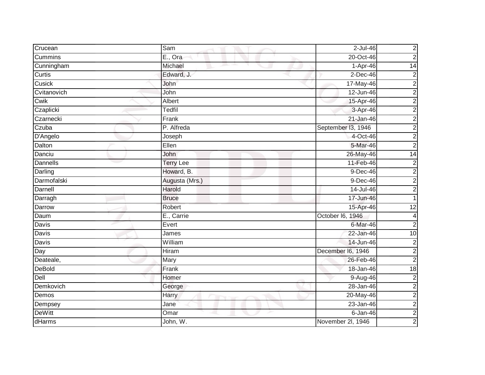| Crucean         | Sam              | 2-Jul-46           | $\overline{c}$  |
|-----------------|------------------|--------------------|-----------------|
| Cummins         | E., Ora          | 20-Oct-46          | $\overline{a}$  |
| Cunningham      | Michael<br>m.    | 1-Apr-46           | 14              |
| Curtis          | Edward, J.       | $2$ -Dec-46        | $\overline{c}$  |
| Cusick          | John             | 17-May-46          | $\overline{2}$  |
| Cvitanovich     | John             | 12-Jun-46          | $\overline{c}$  |
| Cwik            | Albert           | 15-Apr-46          | $\overline{c}$  |
| Czaplicki       | Tedfil           | 3-Apr-46           | $\overline{c}$  |
| Czarnecki       | Frank            | 21-Jan-46          | $\overline{c}$  |
| Czuba           | P. Alfreda       | September I3, 1946 | $\overline{2}$  |
| D'Angelo        | Joseph           | 4-Oct-46           | $\overline{c}$  |
| Dalton          | Ellen            | 5-Mar-46           | $\overline{c}$  |
| Danciu          | John             | 26-May-46          | $\overline{14}$ |
| <b>Dannells</b> | <b>Terry Lee</b> | 11-Feb-46          | $\overline{c}$  |
| Darling         | Howard, B.       | $9-Dec-46$         | $\overline{c}$  |
| Darmofalski     | Augusta (Mrs.)   | 9-Dec-46           | $\overline{2}$  |
| Darnell         | Harold           | $14$ -Jul-46       | 2               |
| Darragh         | <b>Bruce</b>     | 17-Jun-46          |                 |
| Darrow          | Robert           | 15-Apr-46          | 12              |
| Daum            | E., Carrie       | October I6, 1946   | 4               |
| Davis           | Evert            | 6-Mar-46           | $\overline{c}$  |
| <b>Davis</b>    | James            | 22-Jan-46          | 10              |
| Davis           | William          | 14-Jun-46          | $\overline{c}$  |
| Day             | <b>Hiram</b>     | December I6, 1946  | $\overline{c}$  |
| Deateale,       | Mary             | 26-Feb-46          | $\overline{2}$  |
| <b>DeBold</b>   | Frank            | 18-Jan-46          | $\overline{18}$ |
| Dell            | Homer            | 9-Aug-46           | $\overline{c}$  |
| Demkovich       | George           | 28-Jan-46          | $\overline{2}$  |
| Demos           | Harry            | $20-May-46$        | $\overline{a}$  |
| Dempsey         | Jane             | $23 - Jan-46$      | $\overline{c}$  |
| <b>DeWitt</b>   | Omar             | $6 - Jan-46$       | $\overline{c}$  |
| dHarms          | John, W.         | November 2I, 1946  | $\overline{2}$  |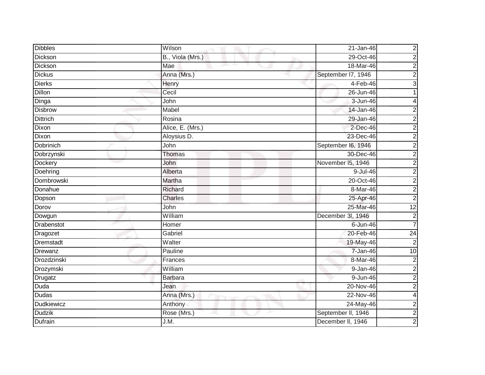| <b>Dibbles</b>    | Wilson           | 21-Jan-46          | $\boldsymbol{2}$        |
|-------------------|------------------|--------------------|-------------------------|
| Dickson           | B., Viola (Mrs.) | 29-Oct-46          | $\overline{\mathbf{c}}$ |
| <b>Dickson</b>    | Mae              | 18-Mar-46          | 2                       |
| <b>Dickus</b>     | Anna (Mrs.)      | September I7, 1946 | $\mathbf 2$             |
| <b>Dierks</b>     | Henry            | $4-Feb-46$         | 3                       |
| Dillon            | Cecil            | 26-Jun-46          |                         |
| Dinga             | John             | 3-Jun-46           | 4                       |
| <b>Disbrow</b>    | Mabel            | 14-Jan-46          | 2                       |
| <b>Dittrich</b>   | Rosina           | 29-Jan-46          | 2                       |
| Dixon             | Alice, E. (Mrs.) | $2$ -Dec-46        | 2                       |
| Dixon             | Aloysius D.      | 23-Dec-46          | 2                       |
| Dobrinich         | John             | September I6, 1946 | 2                       |
| Dobrzynski        | Thomas           | 30-Dec-46          | $\boldsymbol{2}$        |
| Dockery           | John             | November 15, 1946  | $\overline{\mathbf{c}}$ |
| Doehring          | Alberta          | 9-Jul-46           | $\overline{\mathbf{c}}$ |
| Dombrowski        | Martha           | 20-Oct-46          | $\overline{c}$          |
| Donahue           | Richard          | 8-Mar-46           | $\overline{2}$          |
| Dopson            | <b>Charles</b>   | 25-Apr-46          | $\overline{\mathbf{c}}$ |
| Dorov             | John             | 25-Mar-46          | $\overline{12}$         |
| Dowgun            | William          | December 3l, 1946  | $\overline{2}$          |
| Drabenstot        | Homer            | $6$ -Jun-46        | 7                       |
| Dragozet          | Gabriel          | 20-Feb-46          | $\overline{24}$         |
| Dremstadt         | Walter           | 19-May-46          | $\overline{2}$          |
| Drewanz           | Pauline          | 7-Jan-46           | 10                      |
| Drozdzinski       | Frances          | 8-Mar-46           | $\boldsymbol{2}$        |
| Drozymski         | William          | $9 - Jan-46$       | $\overline{\mathbf{c}}$ |
| Drugatz           | <b>Barbara</b>   | 9-Jun-46           | $\overline{c}$          |
| Duda              | Jean             | 20-Nov-46          | $\overline{2}$          |
| Dudas             | Anna (Mrs.)      | 22-Nov-46          | 4                       |
| <b>Dudkiewicz</b> | Anthony          | 24-May-46          | $\overline{\mathbf{c}}$ |
| <b>Dudzik</b>     | Rose (Mrs.)      | September II, 1946 | $\overline{2}$          |
| Dufrain           | J.M.             | December II, 1946  | $\overline{c}$          |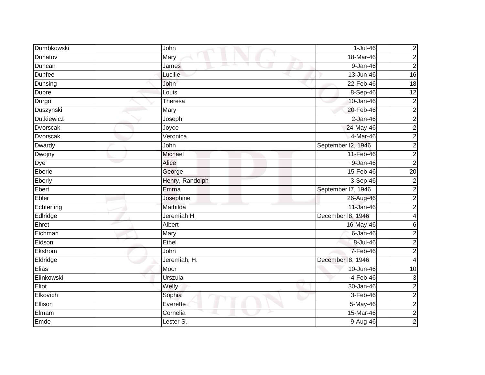| Dumbkowski        | John            | $1-Jul-46$         | $\overline{\mathbf{c}}$ |
|-------------------|-----------------|--------------------|-------------------------|
| Dunatov           | Mary            | 18-Mar-46          | $\overline{c}$          |
| Duncan            | James           | 9-Jan-46           | $\overline{c}$          |
| Dunfee            | Lucille         | 13-Jun-46          | 16                      |
| Dunsing           | John            | $22$ -Feb-46       | 18                      |
| Dupre             | Louis           | 8-Sep-46           | 12                      |
| Durgo             | Theresa         | 10-Jan-46          | $\overline{2}$          |
| Duszynski         | Mary            | 20-Feb-46          | $\overline{c}$          |
| <b>Dutkiewicz</b> | Joseph          | 2-Jan-46           | $\overline{c}$          |
| <b>Dvorscak</b>   | Joyce           | 24-May-46          | $\overline{2}$          |
| Dvorscak          | Veronica        | 4-Mar-46           | $\overline{a}$          |
| Dwardy            | John            | September I2, 1946 | $\overline{c}$          |
| Dwojny            | Michael         | 11-Feb-46          | $\overline{2}$          |
| Dye               | <b>Alice</b>    | 9-Jan-46           | $\overline{2}$          |
| Eberle            | George          | 15-Feb-46          | 20                      |
| Eberly            | Henry, Randolph | 3-Sep-46           | $\overline{c}$          |
| Ebert             | Emma            | September I7, 1946 | $\overline{c}$          |
| Ebler             | Josephine       | 26-Aug-46          | $\overline{c}$          |
| Echterling        | Mathilda        | 11-Jan-46          | $\overline{2}$          |
| Edlridge          | Jeremiah H.     | December 18, 1946  | 4                       |
| Ehret             | Albert          | 16-May-46          | 6                       |
| Eichman           | Mary            | $6 - Jan-46$       | $\overline{c}$          |
| Eidson            | Ethel           | 8-Jul-46           | $\overline{c}$          |
| Ekstrom           | John            | 7-Feb-46           | $\overline{c}$          |
| Eldridge          | Jeremiah, H.    | December 18, 1946  | 4                       |
| Elias             | Moor            | 10-Jun-46          | $\overline{10}$         |
| Elinkowski        | Urszula         | $4-Feb-46$         | 3                       |
| Eliot             | Welly           | 30-Jan-46          | $\overline{c}$          |
| Elkovich          | Sophia          | $3-Feb-46$         | $\overline{a}$          |
| Ellison           | Everette        | 5-May-46           | $\overline{c}$          |
| Elmam             | Cornelia        | 15-Mar-46          | $\overline{2}$          |
| Emde              | Lester S.       | 9-Aug-46           | $\overline{2}$          |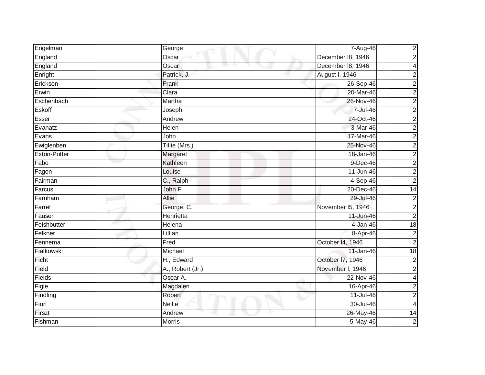| Engelman     | George           | 7-Aug-46          | $\overline{\mathbf{c}}$ |
|--------------|------------------|-------------------|-------------------------|
| England      | Oscar            | December 18, 1946 | $\overline{c}$          |
| England      | Oscar            | December 18, 1946 | 4                       |
| Enright      | Patrick, J.      | August I, 1946    | 2                       |
| Erickson     | Frank            | 26-Sep-46         | $\overline{2}$          |
| Erwin        | Clara            | 20-Mar-46         | $\overline{\mathbf{c}}$ |
| Eschenbach   | Martha           | 26-Nov-46         | $\overline{2}$          |
| Eskoff       | Joseph           | 7-Jul-46          | $\overline{2}$          |
| Esser        | Andrew           | 24-Oct-46         | $\overline{2}$          |
| Evanatz      | Helen            | 3-Mar-46          | $\overline{2}$          |
| Evans        | John             | 17-Mar-46         | $\overline{c}$          |
| Ewiglenben   | Tillie (Mrs.)    | 25-Nov-46         | $\overline{c}$          |
| Exton-Potter | Margaret         | 18-Jan-46         | $\overline{2}$          |
| Fabo         | Kathleen         | 9-Dec-46          | $\overline{c}$          |
| Fagen        | Louise           | $11$ -Jun-46      | $\overline{c}$          |
| Fairman      | C., Ralph        | 4-Sep-46          | $\mathbf 2$             |
| Farcus       | John F.          | 20-Dec-46         | $\overline{14}$         |
| Farnham      | <b>Allie</b>     | 29-Jul-46         | $\overline{\mathbf{c}}$ |
| Farrel       | George, C.       | November I5, 1946 | $\overline{2}$          |
| Fauser       | Henrietta        | 11-Jun-46         | $\overline{2}$          |
| Feishbutter  | Helena           | 4-Jan-46          | $\frac{1}{8}$           |
| Felkner      | Lillian          | 8-Apr-46          | $\boldsymbol{2}$        |
| Fennema      | Fred             | October 14, 1946  | $\overline{2}$          |
| Fialkowski   | Michael          | 11-Jan-46         | $\frac{1}{8}$           |
| Ficht        | H., Edward       | October I7, 1946  | $\boldsymbol{2}$        |
| Field        | A., Robert (Jr.) | November I, 1946  | $\overline{c}$          |
| Fields       | Oscar A.         | 22-Nov-46         | 4                       |
| Figle        | Magdalen         | 16-Apr-46         | $\overline{\mathbf{c}}$ |
| Findling     | Robert           | $11$ -Jul-46      | $\overline{2}$          |
| Fiori        | <b>Nellie</b>    | 30-Jul-46         | 4                       |
| Firszt       | Andrew           | 26-May-46         | 14                      |
| Fishman      | <b>Morris</b>    | 5-May-46          | $\overline{\mathbf{c}}$ |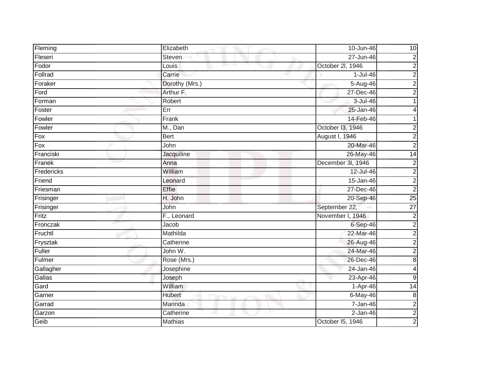| Fleming           | Elizabeth      | 10-Jun-46         | 10               |
|-------------------|----------------|-------------------|------------------|
| Fleseri           | Steven         | 27-Jun-46         | $\overline{c}$   |
| Fodor             | Louis          | October 2l, 1946  | $\overline{c}$   |
| Follrad           | Carrie         | $1-Jul-46$        | $\overline{c}$   |
| Foraker           | Dorothy (Mrs.) | 5-Aug-46          | $\overline{c}$   |
| Ford              | Arthur F.      | 27-Dec-46         | 2                |
| Forman            | Robert         | 3-Jul-46          |                  |
| Foster            | Err            | 25-Jan-46         |                  |
| Fowler            | Frank          | 14-Feb-46         |                  |
| Fowler            | M., Dan        | October 13, 1946  | $\overline{a}$   |
| $\overline{F}$ ox | <b>Bert</b>    | August I, 1946    | $\overline{c}$   |
| Fox               | John           | 20-Mar-46         | $\overline{c}$   |
| Franciski         | Jacquiline     | 26-May-46         | $\overline{14}$  |
| Franek            | Anna           | December 3l, 1946 | $\overline{c}$   |
| Fredericks        | William        | 12-Jul-46         | $\overline{c}$   |
| Friend            | Leonard        | 15-Jan-46         | $\overline{2}$   |
| Friesman          | <b>Effie</b>   | 27-Dec-46         | $\overline{2}$   |
| Frisinger         | H. John        | 20-Sep-46         | 25               |
| Frisinger         | John           | September 22,     | $\overline{27}$  |
| Fritz             | F., Leonard    | November I, 1946  | $\overline{2}$   |
| Fronczak          | Jacob          | 6-Sep-46          | $\overline{c}$   |
| Fruchtl           | Mathilda       | 22-Mar-46         | $\overline{2}$   |
| Frysztak          | Catherine      | 26-Aug-46         | $\overline{c}$   |
| Fuller            | John W.        | 24-Mar-46         | $\overline{c}$   |
| Fulmer            | Rose (Mrs.)    | $26$ -Dec-46      | $\bf 8$          |
| Gallagher         | Josephine      | $24$ -Jan-46      | 4                |
| Gallas            | Joseph         | $23-Apr-46$       | $\boldsymbol{9}$ |
| Gard              | William        | 1-Apr-46          | $\overline{14}$  |
| Garner            | <b>Hubert</b>  | 6-May-46          | $\bf 8$          |
| Garrad            | Marinda        | 7-Jan-46          | $\overline{c}$   |
| Garzon            | Catherine      | $2-Jan-46$        | $\overline{2}$   |
| Geib              | <b>Mathias</b> | October I5, 1946  | $\overline{a}$   |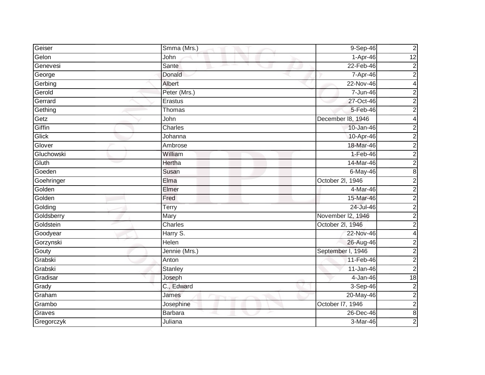| Geiser     | Smma (Mrs.)    | 9-Sep-46          | $\overline{c}$          |
|------------|----------------|-------------------|-------------------------|
| Gelon      | John           | 1-Apr-46          | 12                      |
| Genevesi   | Sante          | 22-Feb-46         | $\overline{2}$          |
| George     | Donald         | 7-Apr-46          | $\overline{c}$          |
| Gerbing    | Albert         | 22-Nov-46         | $\overline{\mathbf{4}}$ |
| Gerold     | Peter (Mrs.)   | 7-Jun-46          | 2                       |
| Gerrard    | Erastus        | 27-Oct-46         | $\overline{c}$          |
| Gething    | Thomas         | 5-Feb-46          | $\overline{2}$          |
| Getz       | John           | December 18, 1946 | 4                       |
| Giffin     | Charles        | 10-Jan-46         | $\overline{2}$          |
| Glick      | Johanna        | 10-Apr-46         | $\overline{c}$          |
| Glover     | Ambrose        | 18-Mar-46         | $\overline{c}$          |
| Gluchowski | William        | $1-Feb-46$        | $\overline{c}$          |
| Gluth      | Hertha         | 14-Mar-46         | $\overline{c}$          |
| Goeden     | Susan          | $6$ -May-46       | 8                       |
| Goehringer | Elma           | October 2l, 1946  | $\overline{c}$          |
| Golden     | Elmer          | 4-Mar-46          | $\overline{2}$          |
| Golden     | Fred           | 15-Mar-46         | $\overline{c}$          |
| Golding    | Terry          | 24-Jul-46         | $\overline{c}$          |
| Goldsberry | Mary           | November I2, 1946 | $\overline{c}$          |
| Goldstein  | Charles        | October 2l, 1946  | $\overline{a}$          |
| Goodyear   | Harry S.       | 22-Nov-46         | $\overline{\mathbf{4}}$ |
| Gorzynski  | <b>Helen</b>   | 26-Aug-46         | $\overline{c}$          |
| Gouty      | Jennie (Mrs.)  | September I, 1946 | $\overline{a}$          |
| Grabski    | Anton          | 11-Feb-46         | $\overline{c}$          |
| Grabski    | Stanley        | 11-Jan-46         | $\overline{c}$          |
| Gradisar   | Joseph         | 4-Jan-46          | 18                      |
| Grady      | C., Edward     | 3-Sep-46          | $\overline{c}$          |
| Graham     | James          | 20-May-46         | $\overline{c}$          |
| Grambo     | Josephine      | October I7, 1946  | $\overline{c}$          |
| Graves     | <b>Barbara</b> | 26-Dec-46         | $\infty$                |
| Gregorczyk | Juliana        | 3-Mar-46          | $\overline{2}$          |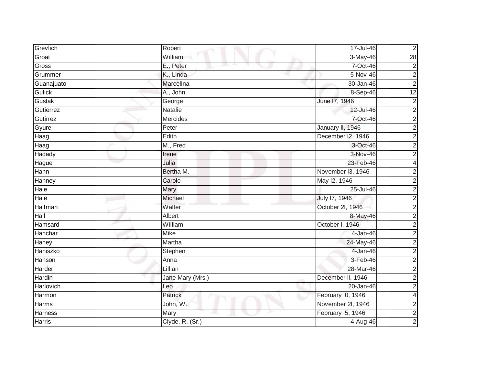| Grevlich       | Robert           | 17-Jul-46         | $\mathbf 2$             |
|----------------|------------------|-------------------|-------------------------|
| Groat          | William          | 3-May-46          | $\overline{28}$         |
| Gross          | E., Peter        | 7-Oct-46          | 2                       |
| Grummer        | K., Linda        | 5-Nov-46          | $\boldsymbol{2}$        |
| Guanajuato     | Marcelina        | 30-Jan-46         | $\overline{2}$          |
| Gulick         | A., John         | 8-Sep-46          | 12                      |
| Gustak         | George           | June 17, 1946     | $\overline{c}$          |
| Gutierrez      | Natalie          | 12-Jul-46         | $\overline{\mathbf{c}}$ |
| Gutirrez       | <b>Mercides</b>  | 7-Oct-46          | $\overline{2}$          |
| Gyure          | Peter            | January II, 1946  | $\overline{2}$          |
| Haag           | Edith            | December I2, 1946 | $\overline{2}$          |
| Haag           | M., Fred         | 3-Oct-46          | $\overline{c}$          |
| Hadady         | Irene            | 3-Nov-46          | $\overline{2}$          |
| Hague          | Julia            | 23-Feb-46         | 4                       |
| Hahn           | Bertha M.        | November 13, 1946 | 2                       |
| Hahney         | Carole           | May 12, 1946      | $\overline{2}$          |
| Hale           | Mary             | 25-Jul-46         | $\overline{c}$          |
| Hale           | Michael          | July 17, 1946     | 2                       |
| Halfman        | Walter           | October 2l, 1946  | $\overline{2}$          |
| Hall           | <b>Albert</b>    | 8-May-46          | $\overline{\mathbf{c}}$ |
| Hamsard        | William          | October I, 1946   | 2                       |
| Hanchar        | <b>Mike</b>      | 4-Jan-46          | $\overline{2}$          |
| Haney          | Martha           | 24-May-46         | $\overline{c}$          |
| Haniszko       | Stephen          | 4-Jan-46          | $\overline{\mathbf{c}}$ |
| Hanson         | Anna             | 3-Feb-46          | $\overline{c}$          |
| Harder         | Lillian          | 28-Mar-46         | $\overline{2}$          |
| Hardin         | Jane Mary (Mrs.) | December II, 1946 | $\overline{c}$          |
| Harlovich      | Leo              | 20-Jan-46         | $\overline{2}$          |
| Harmon         | Patrick          | February I0, 1946 | 4                       |
| <b>Harms</b>   | John, W.         | November 2I, 1946 | $\overline{\mathbf{c}}$ |
| <b>Harness</b> | Mary             | February I5, 1946 | $\overline{2}$          |
| <b>Harris</b>  | Clyde, R. (Sr.)  | $4 - Aug-46$      | $\overline{c}$          |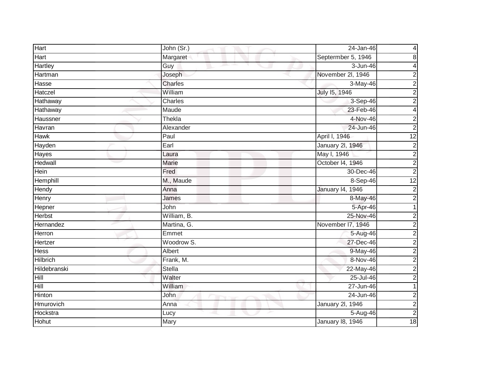| Hart                | John (Sr.)   | 24-Jan-46               | 4                       |
|---------------------|--------------|-------------------------|-------------------------|
| Hart                | Margaret     | Septermber 5, 1946      | 8                       |
| Hartley             | Guy          | 3-Jun-46                | 4                       |
| Hartman             | Joseph       | November 2l, 1946       | $\overline{\mathbf{c}}$ |
| Hasse               | Charles      | 3-May-46                | $\overline{\mathbf{c}}$ |
| Hatczel             | William      | July 15, 1946           | $\overline{c}$          |
| Hathaway            | Charles      | 3-Sep-46                | $\overline{2}$          |
| Hathaway            | Maude        | 23-Feb-46               | 4                       |
| Haussner            | Thekla       | 4-Nov-46                | $\overline{c}$          |
| Havran              | Alexander    | 24-Jun-46               | $\overline{2}$          |
| <b>Hawk</b>         | Paul         | April I, 1946           | $\overline{12}$         |
| Hayden              | Earl         | <b>January 2l, 1946</b> | $\overline{\mathbf{c}}$ |
| Hayes               | Laura        | May I, 1946             | $\overline{2}$          |
| Hedwall             | <b>Marie</b> | October 14, 1946        | $\overline{2}$          |
| Hein                | Fred         | 30-Dec-46               | $\overline{c}$          |
| Hemphill            | M., Maude    | 8-Sep-46                | $\overline{12}$         |
| Hendy               | Anna         | <b>January 14, 1946</b> | $\mathbf 2$             |
| Henry               | James        | 8-May-46                | 2                       |
| Hepner              | John         | 5-Apr-46                | 1                       |
| <b>Herbst</b>       | William, B.  | 25-Nov-46               | 2                       |
| Hernandez           | Martina, G.  | November I7, 1946       | 2                       |
| Herron              | Emmet        | 5-Aug-46                | $\overline{2}$          |
| Hertzer             | Woodrow S.   | 27-Dec-46               | $\overline{c}$          |
| <b>Hess</b>         | Albert       | 9-May-46                | $\overline{c}$          |
| <b>Hilbrich</b>     | Frank, M.    | 8-Nov-46                | $\overline{2}$          |
| <b>Hildebranski</b> | Stella       | 22-May-46               | $\overline{2}$          |
| Hill                | Walter       | 25-Jul-46               | $\overline{c}$          |
| Hill                | William      | 27-Jun-46               | 1                       |
| Hinton              | John         | 24-Jun-46               | $\overline{c}$          |
| Hmurovich           | Anna         | <b>January 2l, 1946</b> | $\overline{\mathbf{c}}$ |
| Hockstra            | Lucy         | 5-Aug-46                | $\overline{2}$          |
| Hohut               | Mary         | <b>January 18, 1946</b> | 18                      |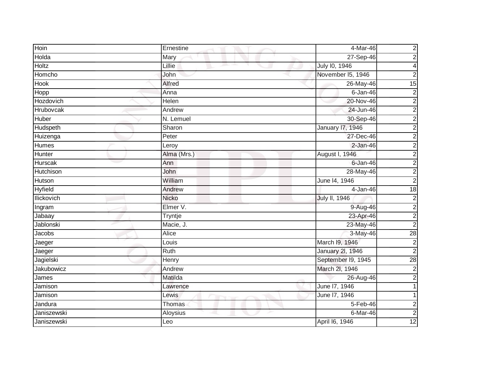| Hoin              | Ernestine    | 4-Mar-46             | $\overline{\mathbf{c}}$ |
|-------------------|--------------|----------------------|-------------------------|
| Holda             | Mary         | 27-Sep-46            | $\overline{2}$          |
| <b>Holtz</b>      | Lillie       | July 10, 1946        | 4                       |
| Homcho            | John         | November I5, 1946    | $\overline{2}$          |
| <b>Hook</b>       | Alfred       | 26-May-46            | 15                      |
| Hopp              | Anna         | $6$ -Jan-46          | $\boldsymbol{2}$        |
| Hozdovich         | Helen        | 20-Nov-46            | $\overline{2}$          |
| Hrubovcak         | Andrew       | 24-Jun-46            | $\overline{2}$          |
| Huber             | N. Lemuel    | 30-Sep-46            | $\overline{2}$          |
| Hudspeth          | Sharon       | January 17, 1946     | $\overline{2}$          |
| Huizenga          | Peter        | 27-Dec-46            | $\overline{2}$          |
| Humes             | Leroy        | $2$ -Jan-46          | $\overline{2}$          |
| Hunter            | Alma (Mrs.)  | August I, 1946       | $\overline{2}$          |
| Hurscak           | Ann          | $6$ -Jan-46          | $\overline{2}$          |
| <b>Hutchison</b>  | John         | 28-May-46            | $\overline{2}$          |
| Hutson            | William      | June 14, 1946        | $\overline{2}$          |
| <b>Hyfield</b>    | Andrew       | $4-Jan-46$           | 18                      |
| <b>Ilickovich</b> | <b>Nicko</b> | <b>July II, 1946</b> | $\overline{\mathbf{c}}$ |
| Ingram            | Elmer V.     | 9-Aug-46             | $\overline{2}$          |
| Jabaay            | Tryntje      | 23-Apr-46            | $\overline{2}$          |
| <b>Jablonski</b>  | Macie, J.    | 23-May-46            | $\overline{c}$          |
| Jacobs            | Alice        | 3-May-46             | $\overline{28}$         |
| Jaeger            | Louis        | March 19, 1946       | $\overline{2}$          |
| Jaeger            | Ruth         | January 2l, 1946     | $\overline{2}$          |
| Jagielski         | Henry        | September I9, 1945   | 28                      |
| Jakubowicz        | Andrew       | March 2I, 1946       | $\overline{2}$          |
| James             | Matilda      | 26-Aug-46            | $\overline{2}$          |
| Jamison           | Lawrence     | June 17, 1946        |                         |
| Jamison           | Lewis        | June 17, 1946        |                         |
| Jandura           | Thomas       | 5-Feb-46             | $\boldsymbol{2}$        |
| Janiszewski       | Aloysius     | 6-Mar-46             | $\overline{2}$          |
| Janiszewski       | Leo          | April 16, 1946       | $\overline{12}$         |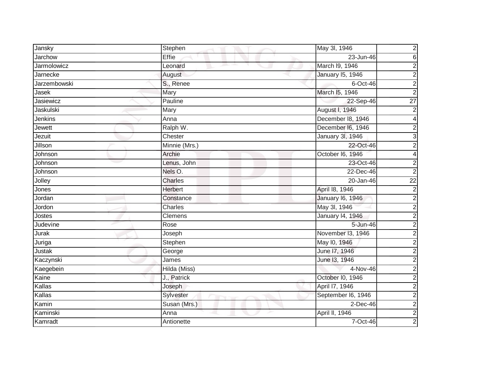| Jansky              | Stephen        | May 3l, 1946                 |
|---------------------|----------------|------------------------------|
| Jarchow             | Effie          | 23-Jun-46                    |
| Jarmolowicz         | Leonard        | March 19, 1946               |
| Jarnecke            | August         | <b>January 15, 1946</b>      |
| <b>Jarzembowski</b> | S., Renee      | $6$ -Oct-46                  |
| Jasek               | Mary           | March I5, 1946               |
| Jasiewicz           | Pauline        | $\overline{27}$<br>22-Sep-46 |
| Jaskulski           | Mary           | August I, 1946               |
| Jenkins             | Anna           | December 18, 1946            |
| Jewett              | Ralph W.       | December I6, 1946            |
| Jezuit              | Chester        | January 3l, 1946             |
| Jillson             | Minnie (Mrs.)  | 22-Oct-46                    |
| Johnson             | Archie         | October I6, 1946             |
| Johnson             | Lenus, John    | 23-Oct-46                    |
| Johnson             | Nels O.        | 22-Dec-46                    |
| Jolley              | Charles        | $\overline{22}$<br>20-Jan-46 |
| Jones               | <b>Herbert</b> | April 18, 1946               |
| Jordan              | Constance      | <b>January 16, 1946</b>      |
| Jordon              | Charles        | May 3l, 1946                 |
| Jostes              | Clemens        | <b>January 14, 1946</b>      |
| Judevine            | Rose           | 5-Jun-46                     |
| Jurak               | Joseph         | November 13, 1946            |
| Juriga              | Stephen        | May 10, 1946                 |
| Justak              | George         | June 17, 1946                |
| Kaczynski           | James          | June 13, 1946                |
| Kaegebein           | Hilda (Miss)   | $4-Nov-46$                   |
| Kaine               | J., Patrick    | October I0, 1946             |
| Kallas              | Joseph         | April 17, 1946               |
| Kallas              | Sylvester      | September I6, 1946           |
| Kamin               | Susan (Mrs.)   | $2$ -Dec-46                  |
| Kaminski            | Anna           | April II, 1946               |
| Kamradt             | Antionette     | 7-Oct-46                     |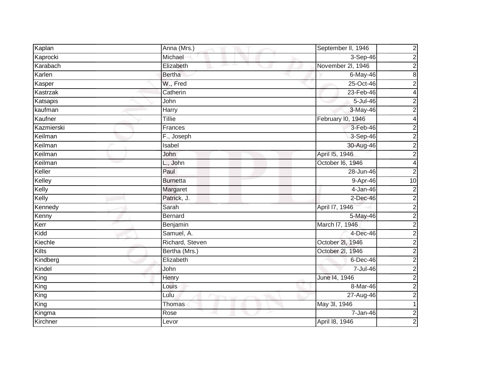| Kaplan            | Anna (Mrs.)     | $\overline{\mathbf{c}}$<br>September II, 1946 |
|-------------------|-----------------|-----------------------------------------------|
| Kaprocki          | Michael         | $3-$ Sep-46<br>$\boldsymbol{2}$               |
| Karabach          | Elizabeth       | November 2l, 1946<br>$\overline{\mathbf{c}}$  |
| Karlen            | <b>Bertha</b>   | 8<br>6-May-46                                 |
| Kasper            | W., Fred        | 25-Oct-46<br>$\overline{\mathbf{c}}$          |
| Kastrzak          | Catherin        | 23-Feb-46<br>4                                |
| Katsapis          | John            | 5-Jul-46<br>$\mathbf 2$                       |
| kaufman           | Harry           | 3-May-46<br>$\overline{c}$                    |
| Kaufner           | Tillie          | February I0, 1946<br>4                        |
| <b>Kazmierski</b> | Frances         | 3-Feb-46<br>$\mathbf 2$                       |
| Keilman           | F., Joseph      | 3-Sep-46<br>$\overline{c}$                    |
| Keilman           | <b>Isabel</b>   | 30-Aug-46<br>$\overline{2}$                   |
| Keilman           | John            | $\overline{2}$<br>April 15, 1946              |
| Keilman           | L., John        | October I6, 1946<br>4                         |
| Keller            | Paul            | 28-Jun-46<br>2                                |
| Kelley            | <b>Burnetta</b> | 10<br>9-Apr-46                                |
| Kelly             | Margaret        | 4-Jan-46<br>$\mathbf 2$                       |
| Kelly             | Patrick, J.     | $2$ -Dec-46<br>2                              |
| Kennedy           | Sarah           | $\overline{2}$<br>April 17, 1946              |
| Kenny             | Bernard         | 5-May-46<br>$\overline{\mathbf{c}}$           |
| Kerr              | Benjamin        | March I7, 1946<br>2                           |
| Kidd              | Samuel, A.      | $\overline{2}$<br>4-Dec-46                    |
| Kiechle           | Richard, Steven | October 2l, 1946<br>$\overline{\mathbf{c}}$   |
| Kilts             | Bertha (Mrs.)   | October 2l, 1946<br>$\overline{\mathbf{c}}$   |
| Kindberg          | Elizabeth       | $\overline{2}$<br>$6$ -Dec-46                 |
| Kindel            | John            | 7-Jul-46<br>$\overline{c}$                    |
| King              | Henry           | $\overline{2}$<br>June 14, 1946               |
| King              | Louis           | $\overline{2}$<br>8-Mar-46                    |
| King              | Lulu            | 27-Aug-46<br>$\overline{c}$                   |
| King              | Thomas          | May 3l, 1946<br>1                             |
| Kingma            | Rose            | $\mathbf 2$<br>$7 - Jan-46$                   |
| Kirchner          | Levor           | $\overline{c}$<br>April 18, 1946              |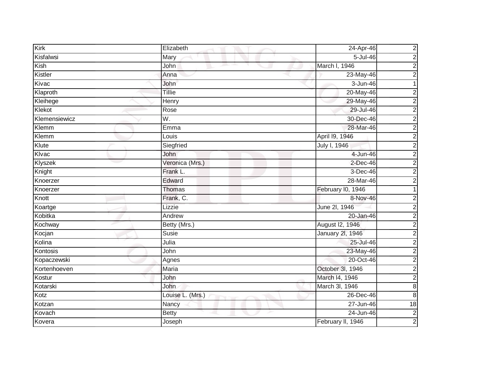| Kirk          | Elizabeth        | 24-Apr-46         | $\boldsymbol{2}$ |
|---------------|------------------|-------------------|------------------|
| Kisfalwsi     | Mary             | 5-Jul-46          | $\overline{c}$   |
| Kish          | John             | March I, 1946     | 2                |
| Kistler       | Anna             | 23-May-46         | $\overline{c}$   |
| Kivac         | John             | 3-Jun-46          |                  |
| Klaproth      | Tillie           | 20-May-46         | $\overline{2}$   |
| Kleihege      | Henry            | 29-May-46         | $\overline{2}$   |
| Klekot        | Rose             | 29-Jul-46         | $\overline{2}$   |
| Klemensiewicz | W.               | 30-Dec-46         | 2                |
| Klemm         | Emma             | 28-Mar-46         | $\overline{c}$   |
| Klemm         | Louis            | April 19, 1946    | $\overline{c}$   |
| Klute         | Siegfried        | July I, 1946      | 2                |
| Klvac         | John             | 4-Jun-46          | $\overline{c}$   |
| Klyszek       | Veronica (Mrs.)  | $2$ -Dec-46       | $\overline{2}$   |
| Knight        | Frank L.         | $3-Dec-46$        | $\overline{c}$   |
| Knoerzer      | Edward           | 28-Mar-46         | $\mathbf 2$      |
| Knoerzer      | Thomas           | February I0, 1946 |                  |
| Knott         | Frank, C.        | 8-Nov-46          | 2                |
| Koartge       | Lizzie           | June 2l, 1946     | $\overline{2}$   |
| Kobitka       | Andrew           | 20-Jan-46         | $\overline{2}$   |
| Kochway       | Betty (Mrs.)     | August I2, 1946   | 2                |
| Kocjan        | Susie            | January 2l, 1946  | $\overline{c}$   |
| Kolina        | Julia            | 25-Jul-46         | $\overline{c}$   |
| Kontosis      | John             | 23-May-46         | 2                |
| Kopaczewski   | Agnes            | 20-Oct-46         | $\boldsymbol{2}$ |
| Kortenhoeven  | Maria            | October 3l, 1946  | $\overline{2}$   |
| Kostur        | John             | March 14, 1946    | $\overline{c}$   |
| Kotarski      | John             | March 3l, 1946    | $\bf8$           |
| Kotz          | Louise L. (Mrs.) | $26$ -Dec-46      | 8                |
| Kotzan        | Nancy            | 27-Jun-46         | 18               |
| Kovach        | <b>Betty</b>     | 24-Jun-46         | $\overline{2}$   |
| Kovera        | Joseph           | February II, 1946 | $\mathbf 2$      |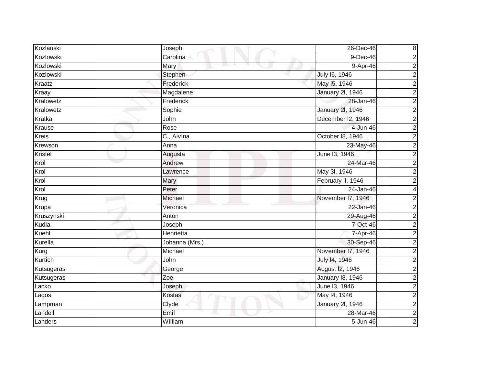| Kozlauski    | Joseph         | $\bf 8$<br>26-Dec-46                      |
|--------------|----------------|-------------------------------------------|
| Kozlowski    | Carolina       | $\overline{2}$<br>$9-Dec-46$              |
| Kozlowski    | Mary           | $\overline{2}$<br>9-Apr-46                |
| Kozlowski    | Stephen        | $\overline{2}$<br>July 16, 1946           |
| Kraatz       | Frederick      | $\overline{2}$<br>May 15, 1946            |
| Kraay        | Magdalene      | $\overline{2}$<br><b>January 2l, 1946</b> |
| Kralowetz    | Frederick      | $\overline{2}$<br>28-Jan-46               |
| Kralowetz    | Sophie         | $\overline{2}$<br>January 2l, 1946        |
| Kratka       | John           | $\overline{2}$<br>December I2, 1946       |
| Krause       | Rose           | $\overline{2}$<br>4-Jun-46                |
| <b>Kreis</b> | C., Aivina     | $\overline{2}$<br>October 18, 1946        |
| Krewson      | Anna           | $\overline{2}$<br>23-May-46               |
| Kristel      | Augusta        | $\frac{2}{2}$<br>June 13, 1946            |
| Krol         | Andrew         | 24-Mar-46                                 |
| Krol         | Lawrence       | $\overline{2}$<br>May 3l, 1946            |
| Krol         | Mary           | $\overline{2}$<br>February II, 1946       |
| Krol         | Peter          | 24-Jan-46<br>4                            |
| Krug         | Michael        | November 17, 1946<br>$\overline{2}$       |
| Krupa        | Veronica       | $\overline{c}$<br>22-Jan-46               |
| Kruszynski   | Anton          | $\overline{2}$<br>29-Aug-46               |
| Kudla        | Joseph         | $\overline{2}$<br>7-Oct-46                |
| Kuehl        | Henrietta      | $\overline{2}$<br>7-Apr-46                |
| Kurella      | Johanna (Mrs.) | $\overline{2}$<br>30-Sep-46               |
| Kurg         | Michael        | $\overline{2}$<br>November 17, 1946       |
| Kurtich      | John           | $\overline{2}$<br>July 14, 1946           |
| Kutsugeras   | George         | $\overline{2}$<br>August I2, 1946         |
| Kutsugeras   | Zoe            | <b>January 18, 1946</b><br>$\overline{2}$ |
| Lacko        | Joseph         | $\overline{2}$<br>June 13, 1946           |
| Lagos        | <b>Kostas</b>  | $\overline{2}$<br>May 14, 1946            |
| Lampman      | Clyde          | $\overline{2}$<br>January 2l, 1946        |
| Landell      | Emil           | $\overline{2}$<br>28-Mar-46               |
| Landers      | William        | $\overline{2}$<br>5-Jun-46                |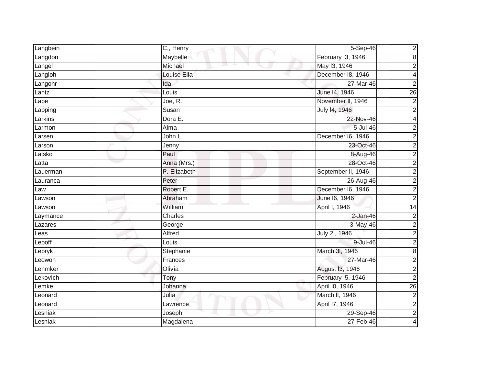| Langbein | C., Henry     | 5-Sep-46           | $\overline{\mathbf{c}}$ |
|----------|---------------|--------------------|-------------------------|
| Langdon  | Maybelle      | February I3, 1946  | $\overline{8}$          |
| Langel   | Michael<br>m. | May 13, 1946       | $\overline{2}$          |
| Langloh  | Louise Ella   | December 18, 1946  | $\overline{\mathbf{4}}$ |
| Langohr  | Ida           | 27-Mar-46          | $\overline{\mathbf{c}}$ |
| Lantz    | Louis         | June 14, 1946      | $\overline{26}$         |
| Lape     | Joe, R.       | November II, 1946  | $\overline{2}$          |
| Lapping  | Susan         | July 14, 1946      | $\overline{2}$          |
| Larkins  | Dora E.       | 22-Nov-46          | 4                       |
| Larmon   | Alma          | $5 -$ Jul $-46$    | $\overline{2}$          |
| Larsen   | John L.       | December I6, 1946  | $\overline{2}$          |
| _arson   | Jenny         | 23-Oct-46          | $\overline{2}$          |
| Latsko   | Paul          | 8-Aug-46           | $\overline{2}$          |
| Latta    | Anna (Mrs.)   | 28-Oct-46          | $\overline{2}$          |
| Lauerman | P. Elizabeth  | September II, 1946 | $\overline{2}$          |
| Lauranca | Peter         | 26-Aug-46          | $\overline{2}$          |
| Law      | Robert E.     | December I6, 1946  | $\overline{2}$          |
| Lawson   | Abraham       | June 16, 1946      | $\overline{2}$          |
| Lawson   | William       | April I, 1946      | $\overline{14}$         |
| Laymance | Charles       | $2-Jan-46$         | $\overline{2}$          |
| Lazares  | George        | 3-May-46           | $\overline{2}$          |
| Leas     | Alfred        | July 2l, 1946      | $\overline{2}$          |
| _eboff   | Louis         | 9-Jul-46           | $\overline{2}$          |
| Lebryk   | Stephanie     | March 3I, 1946     | $\overline{8}$          |
| _edwon   | Frances       | 27-Mar-46          | $\overline{2}$          |
| Lehmker  | Olivia        | August 13, 1946    | $\overline{2}$          |
| Lekovich | Tony          | February I5, 1946  | $\overline{2}$          |
| _emke    | Johanna       | April I0, 1946     | 26                      |
| Leonard  | Julia         | March II, 1946     | $\overline{2}$          |
| Leonard  | Lawrence      | April 17, 1946     | $\overline{2}$          |
| _esniak  | Joseph        | 29-Sep-46          | $\overline{2}$          |
| Lesniak  | Magdalena     | 27-Feb-46          | 4                       |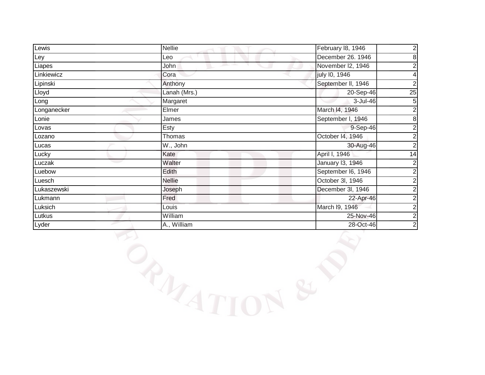| Lewis       | <b>Nellie</b> | February 18, 1946<br>$\overline{\mathbf{c}}$ |
|-------------|---------------|----------------------------------------------|
| Ley         | Leo           | December 26. 1946<br>8                       |
| Liapes      | John          | November I2, 1946                            |
| Linkiewicz  | Cora          | july 10, 1946                                |
| Lipinski    | Anthony       | September II, 1946                           |
| Lloyd       | Lanah (Mrs.)  | 25<br>20-Sep-46                              |
| Long        | Margaret      | $3 -$ Jul $-46$<br>5                         |
| Longanecker | Elmer         | 2<br>March I4, 1946                          |
| Lonie       | James         | September I, 1946<br>8                       |
| Lovas       | Esty          | $9-Sep-46$                                   |
| Lozano      | Thomas        | October I4, 1946                             |
| Lucas       | W., John      | 30-Aug-46                                    |
| Lucky       | Kate          | 14<br>April I, 1946                          |
| Luczak      | Walter        | January 13, 1946<br>2                        |
| Luebow      | Edith         | September I6, 1946                           |
| Luesch      | <b>Nellie</b> | October 3I, 1946                             |
| Lukaszewski | Joseph        | December 3I, 1946                            |
| Lukmann     | Fred          | 22-Apr-46                                    |
| Luksich     | Louis         | March 19, 1946                               |
| Lutkus      | William       | 25-Nov-46                                    |
| Lyder       | A., William   | $\overline{\mathbf{c}}$<br>28-Oct-46         |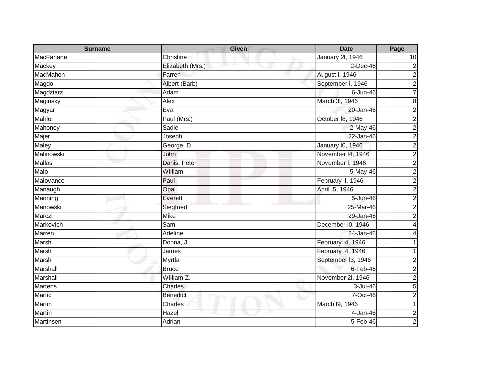| <b>Surname</b> | <b>Given</b>                          | <b>Date</b>             | Page             |
|----------------|---------------------------------------|-------------------------|------------------|
| MacFarlane     | Christine                             | January 2l, 1946        | 10               |
| <b>Mackey</b>  | Elizabeth (Mrs.)                      | $2$ -Dec-46             | $\mathbf 2$      |
| MacMahon       | Farren                                | August I, 1946          | $\overline{2}$   |
| Magdo          | Albert (Barb)                         | September I, 1946       | $\overline{2}$   |
| Magdziarz      | Adam                                  | $6$ -Jun-46             | 7                |
| Maginsky       | Alex                                  | March 3I, 1946          | $\overline{8}$   |
| Magyar         | Eva                                   | 20-Jan-46               | $\overline{2}$   |
| Mahler         | Paul (Mrs.)                           | October 18, 1946        | $\boldsymbol{2}$ |
| Mahoney        | Sadie                                 | $2-May-46$              | $\overline{2}$   |
| Majer          | Joseph                                | 22-Jan-46               | $\overline{2}$   |
| Maley          | George, D.                            | <b>January 10, 1946</b> | $\overline{c}$   |
| Malinowski     | John                                  | November 14, 1946       | $\overline{2}$   |
| <b>Mallas</b>  | Danis, Peter                          | November I, 1946        | $\overline{2}$   |
| Malo           | William                               | 5-May-46                | $\overline{2}$   |
| Malovance      | Paul                                  | February II, 1946       | $\overline{2}$   |
| Manaugh        | Opal                                  | April 15, 1946          | $\overline{2}$   |
| Manning        | Everett                               | 5-Jun-46                | $\overline{2}$   |
| Manowski       | Siegfried                             | 25-Mar-46               | $\overline{2}$   |
| Marczi         | <b>Mike</b>                           | 29-Jan-46               | $\overline{2}$   |
| Markovich      | Sam                                   | December I0, 1946       |                  |
| Marren         | Adeline                               | 24-Jan-46               | 4                |
| Marsh          | Donna, J.                             | February 14, 1946       |                  |
| Marsh          | James                                 | February 14, 1946       |                  |
| Marsh          | Myrtla                                | September I3, 1946      | $\overline{c}$   |
| Marshall       | <b>Bruce</b>                          | $6$ -Feb-46             | $\overline{2}$   |
| Marshall       | William Z.                            | November 2l, 1946       | $\overline{2}$   |
| <b>Martens</b> | Charles                               | 3-Jul-46                | $\overline{5}$   |
| Martic         | <b>Benedict</b><br><b>START START</b> | 7-Oct-46                | $\overline{c}$   |
| Martin         | Charles                               | March I9, 1946          | $\mathbf 1$      |
| Martin         | Hazel                                 | 4-Jan-46                | $\overline{2}$   |
| Martinsen      | Adrian                                | 5-Feb-46                | $\overline{2}$   |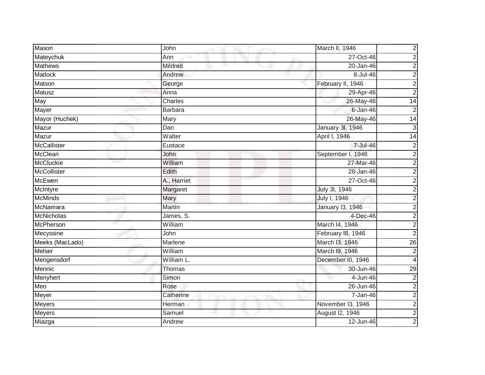| Mason              | John           | March II, 1946    | $\boldsymbol{2}$        |
|--------------------|----------------|-------------------|-------------------------|
| Mateychuk          | Ann            | 27-Oct-46         | $\overline{\mathbf{c}}$ |
| <b>Mathews</b>     | Mildred        | $20 - Jan-46$     | 2                       |
| Matlock            | Andrew         | 8-Jul-46          | $\overline{c}$          |
| Matson             | George         | February II, 1946 | $\overline{2}$          |
| Matusz             | Anna           | 29-Apr-46         | $\overline{c}$          |
| May                | Charles        | 26-May-46         | $\overline{14}$         |
| Mayer              | <b>Barbara</b> | $6 - Jan-46$      | $\mathbf 2$             |
| Mayor (Huchek)     | Mary           | 26-May-46         | 14                      |
| Mazur              | Dan            | January 3I, 1946  | 3                       |
| Mazur              | Walter         | April I, 1946     | 14                      |
| <b>McCallister</b> | Eustace        | 7-Jul-46          | 2                       |
| McClean            | John           | September I, 1946 | $\overline{c}$          |
| <b>McCluckie</b>   | William        | 27-Mar-46         | $\overline{c}$          |
| <b>McCollister</b> | Edith          | 28-Jan-46         | $\overline{c}$          |
| <b>McEwen</b>      | A., Harriet    | 27-Oct-46         | $\overline{2}$          |
| McIntyre           | Margaret       | July 3l, 1946     | $\overline{2}$          |
| <b>McMinds</b>     | Mary           | July I, 1946      | $\overline{\mathbf{c}}$ |
| McNamara           | Martin         | January 13, 1946  | $\overline{2}$          |
| <b>McNicholas</b>  | James, S.      | 4-Dec-46          | $\overline{2}$          |
| McPherson          | William        | March I4, 1946    | 2                       |
| Mecyssine          | John           | February 18, 1946 | $\overline{2}$          |
| Meeks (MacLado)    | Marlene        | March I3, 1946    | $\overline{26}$         |
| Melser             | William        | March I9, 1946    | 2                       |
| Mengensdorf        | William L.     | December I0, 1946 | 4                       |
| Mennic             | Thomas         | 30-Jun-46         | $\overline{29}$         |
| Menyhert           | Simon          | 4-Jun-46          | $\overline{c}$          |
| Meo                | Rose           | 26-Jun-46         | $\overline{c}$          |
| Meyer              | Catherine      | 7-Jan-46          | $\overline{2}$          |
| Meyers             | Herman         | November 13, 1946 | $\overline{\mathbf{c}}$ |
| Meyers             | Samuel         | August I2, 1946   | $\overline{2}$          |
| Miazga             | Andrew         | 12-Jun-46         | $\overline{c}$          |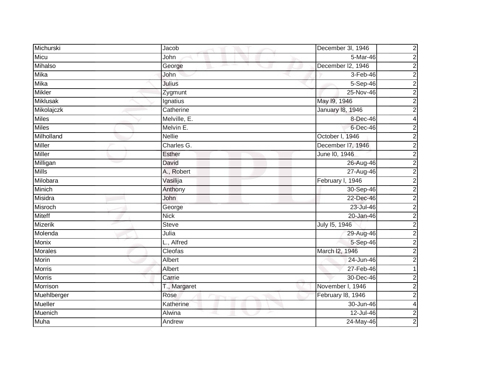| Michurski      | Jacob         | $\overline{\mathbf{c}}$<br>December 3I, 1946 |
|----------------|---------------|----------------------------------------------|
| Micu           | John          | $\overline{2}$<br>5-Mar-46                   |
| Mihalso        | George        | $\overline{2}$<br>December I2, 1946          |
| Mika           | John          | $\overline{2}$<br>$3-Feb-46$                 |
| <b>Mika</b>    | Julius        | $\overline{2}$<br>5-Sep-46                   |
| <b>Mikler</b>  | Zygmunt       | $\overline{2}$<br>25-Nov-46                  |
| Miklusak       | Ignatius      | $\overline{2}$<br>May 19, 1946               |
| Mikolajczk     | Catherine     | $\overline{2}$<br><b>January 18, 1946</b>    |
| <b>Miles</b>   | Melville, E.  | 8-Dec-46<br>4                                |
| <b>Miles</b>   | Melvin E.     | $\overline{2}$<br>6-Dec-46                   |
| Milholland     | <b>Nellie</b> | $\overline{2}$<br>October I, 1946            |
| <b>Miller</b>  | Charles G.    | $\overline{2}$<br>December 17, 1946          |
| Miller         | Esther        | $\overline{2}$<br>June 10, 1946              |
| Milligan       | David         | $\overline{2}$<br>26-Aug-46                  |
| <b>Mills</b>   | A., Robert    | $\overline{2}$<br>27-Aug-46                  |
| Milobara       | Vasilija      | $\overline{2}$<br>February I, 1946           |
| Minich         | Anthony       | $\overline{2}$<br>30-Sep-46                  |
| Misidra        | John          | 22-Dec-46<br>$\mathbf 2$                     |
| Misroch        | George        | $\overline{2}$<br>23-Jul-46                  |
| <b>Miteff</b>  | <b>Nick</b>   | $\overline{2}$<br>20-Jan-46                  |
| <b>Mizerik</b> | Steve         | $\overline{2}$<br>July 15, 1946              |
| Molenda        | Julia         | $\overline{2}$<br>29-Aug-46                  |
| <b>Monix</b>   | L., Alfred    | $\overline{2}$<br>5-Sep-46                   |
| <b>Morales</b> | Cleofas       | $\overline{2}$<br>March I2, 1946             |
| Morin          | Albert        | $\overline{2}$<br>24-Jun-46                  |
| <b>Morris</b>  | Albert        | $27 - Feb - 46$                              |
| <b>Morris</b>  | Carrie        | 30-Dec-46<br>$\overline{2}$                  |
| Morrison       | T., Margaret  | $\overline{2}$<br>November I, 1946           |
| Muehlberger    | Rose          | $\overline{2}$<br>February 18, 1946          |
| <b>Mueller</b> | Katherine     | 30-Jun-46<br>4                               |
| Muenich        | Alwina        | $\overline{2}$<br>12-Jul-46                  |
| Muha           | Andrew        | $\overline{2}$<br>24-May-46                  |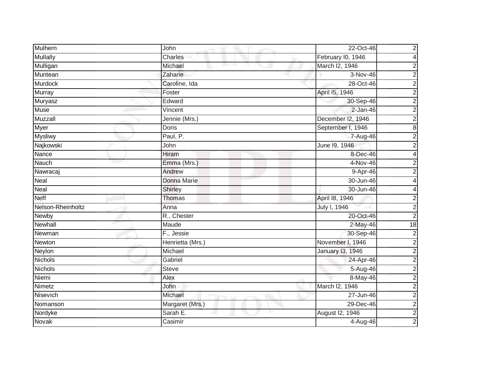| Mulhern           | John             | 22-Oct-46<br>$\overline{\mathbf{c}}$     |
|-------------------|------------------|------------------------------------------|
| <b>Mullally</b>   | Charles          | February I0, 1946<br>4                   |
| Mulligan          | Michael          | March I2, 1946<br>$\boldsymbol{2}$       |
| Muntean           | Zaharie          | $\overline{2}$<br>3-Nov-46               |
| <b>Murdock</b>    | Caroline, Ida    | $\overline{2}$<br>28-Oct-46              |
| Murray            | Foster           | $\overline{c}$<br>April 15, 1946         |
| Muryasz           | Edward           | $\overline{2}$<br>30-Sep-46              |
| <b>Muse</b>       | Vincent          | $\overline{2}$<br>$2-Jan-46$             |
| Muzzall           | Jennie (Mrs.)    | $\overline{2}$<br>December I2, 1946      |
| Myer              | <b>Doris</b>     | $\overline{8}$<br>September I, 1946      |
| <b>Mysliwy</b>    | Paul, P.         | $\boldsymbol{2}$<br>7-Aug-46             |
| Najkowski         | John             | June 19, 1946<br>$\overline{\mathbf{c}}$ |
| Nance             | Hiram            | 8-Dec-46<br>$\overline{\mathbf{4}}$      |
| Nauch             | Emma (Mrs.)      | 4-Nov-46<br>$\overline{\mathbf{c}}$      |
| Nawracaj          | Andrew           | 9-Apr-46<br>$\overline{\mathbf{c}}$      |
| Neal              | Donna Marie      | 30-Jun-46<br>4                           |
| <b>Neal</b>       | Shirley          | 30-Jun-46<br>4                           |
| <b>Neff</b>       | Thomas           | April 18, 1946<br>$\mathbf 2$            |
| Nelson-Rheinholtz | Anna             | $\overline{2}$<br>July I, 1946           |
| Newby             | R., Chester      | $\overline{2}$<br>20-Oct-46              |
| Newhall           | Maude            | $2-May-46$<br>18                         |
| Newman            | F., Jessie       | $\overline{2}$<br>30-Sep-46              |
| Newton            | Henrietta (Mrs.) | $\overline{2}$<br>November I, 1946       |
| Neylon            | Michael          | $\boldsymbol{2}$<br>January 13, 1946     |
| Nichols           | Gabriel          | $\overline{2}$<br>24-Apr-46              |
| <b>Nichols</b>    | <b>Steve</b>     | $\overline{2}$<br>5-Aug-46               |
| Niemi             | Alex             | $\overline{2}$<br>8-May-46               |
| Nimetz            | John             | $\overline{2}$<br>March I2, 1946         |
| Nisevich          | Michael          | $\overline{2}$<br>27-Jun-46              |
| Nomanson          | Margaret (Mrs.)  | $\overline{2}$<br>29-Dec-46              |
| Nordyke           | Sarah E.         | $\overline{2}$<br>August I2, 1946        |
| Novak             | Casimir          | $\overline{2}$<br>4-Aug-46               |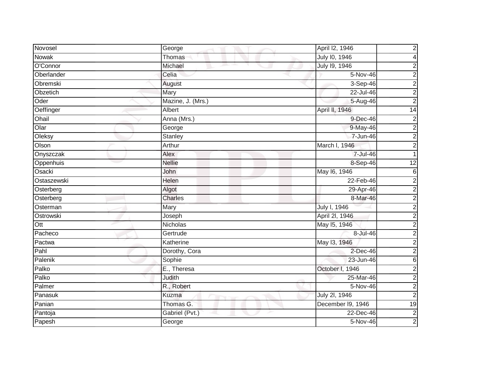| Novosel          | George            | April I2, 1946    | $\overline{c}$          |
|------------------|-------------------|-------------------|-------------------------|
| Nowak            | Thomas            | July 10, 1946     | 4                       |
| O'Connor         | Michael           | July 19, 1946     | 2                       |
| Oberlander       | Celia             | 5-Nov-46          | $\overline{c}$          |
| Obremski         | August            | 3-Sep-46          | $\overline{\mathbf{c}}$ |
| Obzetich         | Mary              | 22-Jul-46         | $\overline{c}$          |
| Oder             | Mazine, J. (Mrs.) | 5-Aug-46          | $\overline{2}$          |
| Oeffinger        | Albert            | April II, 1946    | 14                      |
| Ohail            | Anna (Mrs.)       | 9-Dec-46          | $\overline{\mathbf{c}}$ |
| O <sub>lar</sub> | George            | 9-May-46          | $\overline{2}$          |
| Oleksy           | Stanley           | 7-Jun-46          | $\overline{c}$          |
| Olson            | Arthur            | March I, 1946     | $\overline{2}$          |
| Onyszczak        | Alex              | 7-Jul-46          |                         |
| Oppenhuis        | <b>Nellie</b>     | 8-Sep-46          | $\overline{12}$         |
| Osacki           | John              | May 16, 1946      | 6                       |
| Ostaszewski      | Helen             | 22-Feb-46         | $\overline{2}$          |
| Osterberg        | Algot             | 29-Apr-46         | $\overline{c}$          |
| Osterberg        | <b>Charles</b>    | 8-Mar-46          | 2                       |
| Osterman         | Mary              | July I, 1946      | $\overline{2}$          |
| Ostrowski        | Joseph            | April 2I, 1946    | $\overline{\mathbf{c}}$ |
| Ott              | Nicholas          | May 15, 1946      | 2                       |
| Pacheco          | Gertrude          | 8-Jul-46          | $\overline{2}$          |
| Pactwa           | Katherine         | May 13, 1946      | $\overline{c}$          |
| Pahl             | Dorothy, Cora     | 2-Dec-46          | $\overline{c}$          |
| Palenik          | Sophie            | 23-Jun-46         | $\,$ 6                  |
| Palko            | E., Theresa       | October I, 1946   | $\overline{2}$          |
| Palko            | Judith            | 25-Mar-46         | $\overline{2}$          |
| Palmer           | R., Robert        | 5-Nov-46          | $\overline{2}$          |
| Panasuk          | Kuzma             | July 2l, 1946     | $\overline{2}$          |
| Panian           | Thomas G.         | December I9, 1946 | 19                      |
| Pantoja          | Gabriel (Pvt.)    | 22-Dec-46         | $\overline{2}$          |
| Papesh           | George            | 5-Nov-46          | $\overline{2}$          |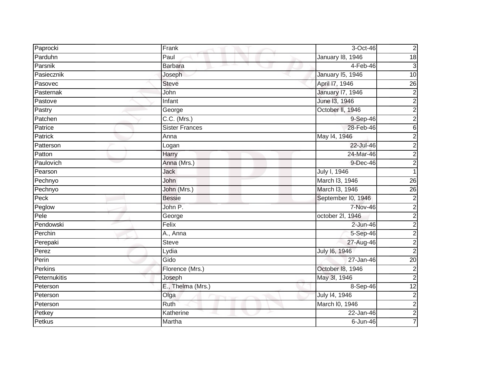| Paprocki     | Frank                    | 3-Oct-46                | $\overline{2}$            |
|--------------|--------------------------|-------------------------|---------------------------|
| Parduhn      | Paul                     | January 18, 1946        | $\overline{18}$           |
| Parsnik      | <b>Barbara</b>           | $4-Feb-46$              | $\ensuremath{\mathsf{3}}$ |
| Pasiecznik   | Joseph                   | January 15, 1946        | 10                        |
| Pasovec      | <b>Steve</b>             | April 17, 1946          | $\overline{26}$           |
| Pasternak    | John                     | <b>January 17, 1946</b> | $\boldsymbol{2}$          |
| Pastove      | Infant                   | June 13, 1946           | $\overline{c}$            |
| Pastry       | George                   | October II, 1946        | $\overline{2}$            |
| Patchen      | $\overline{C.C.}$ (Mrs.) | 9-Sep-46                | $\overline{2}$            |
| Patrice      | <b>Sister Frances</b>    | 28-Feb-46               | $\overline{6}$            |
| Patrick      | Anna                     | May 14, 1946            | $\overline{2}$            |
| Patterson    | Logan                    | 22-Jul-46               | $\overline{2}$            |
| Patton       | Harry                    | 24-Mar-46               | $\frac{2}{2}$             |
| Paulovich    | Anna (Mrs.)              | 9-Dec-46                |                           |
| Pearson      | <b>Jack</b>              | July I, 1946            |                           |
| Pechnyo      | John                     | March I3, 1946          | $\overline{26}$           |
| Pechnyo      | John (Mrs.)              | March I3, 1946          | 26                        |
| Peck         | <b>Bessie</b>            | September I0, 1946      | $\boldsymbol{2}$          |
| Peglow       | John P.                  | 7-Nov-46                | $\overline{\mathbf{c}}$   |
| Pele         | George                   | october 2l, 1946        | $\overline{2}$            |
| Pendowski    | Felix                    | $2$ -Jun-46             | $\overline{2}$            |
| Perchin      | A., Anna                 | 5-Sep-46                | $\overline{2}$            |
| Perepaki     | Steve                    | 27-Aug-46               | $\overline{2}$            |
| Perez        | Lydia                    | July 16, 1946           | $\overline{2}$            |
| Perin        | Gido                     | 27-Jan-46               | $\overline{20}$           |
| Perkins      | Florence (Mrs.)          | October 18, 1946        | $\overline{2}$            |
| Peternukitis | Joseph                   | May 3l, 1946            | $\overline{2}$            |
| Peterson     | E., Thelma (Mrs.)        | 8-Sep-46                | 12                        |
| Peterson     | Olga                     | July 14, 1946           | $\overline{2}$            |
| Peterson     | Ruth                     | March I0, 1946          | $\overline{2}$            |
| Petkey       | Katherine                | 22-Jan-46               | $\overline{2}$            |
| Petkus       | Martha                   | $6$ -Jun-46             | $\overline{7}$            |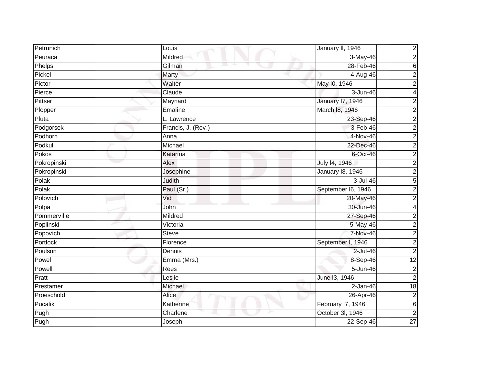| Petrunich   | Louis                   | January II, 1946        | $\overline{\mathbf{c}}$ |
|-------------|-------------------------|-------------------------|-------------------------|
| Peuraca     | Mildred                 | 3-May-46                | $\overline{2}$          |
| Phelps      | Gilman                  | 28-Feb-46               | $\overline{6}$          |
| Pickel      | Marty                   | 4-Aug-46                | $\overline{2}$          |
| Pictor      | Walter                  | May 10, 1946            | $\overline{2}$          |
| Pierce      | Claude                  | 3-Jun-46                | 4                       |
| Pittser     | Maynard                 | <b>January 17, 1946</b> | $\overline{2}$          |
| Plopper     | Emaline                 | March 18, 1946          | $\overline{2}$          |
| Pluta       | L. Lawrence             | 23-Sep-46               | $\overline{2}$          |
| Podgorsek   | Francis, J. (Rev.)      | 3-Feb-46                | $\overline{2}$          |
| Podhorn     | Anna                    | 4-Nov-46                | $\overline{2}$          |
| Podkul      | Michael                 | 22-Dec-46               | $\overline{2}$          |
| Pokos       | Katarina                | $6$ -Oct-46             | $\overline{2}$          |
| Pokropinski | Alex                    | July 14, 1946           | $\overline{2}$          |
| Pokropinski | Josephine               | <b>January 18, 1946</b> | $\overline{2}$          |
| Polak       | Judith                  | 3-Jul-46                | $\overline{5}$          |
| Polak       | Paul (Sr.)              | September I6, 1946      | $\overline{2}$          |
| Polovich    | Vid                     | 20-May-46               | $\overline{2}$          |
| Polpa       | John                    | 30-Jun-46               | $\overline{\mathbf{4}}$ |
| Pommerville | Mildred                 | 27-Sep-46               | $\overline{2}$          |
| Poplinski   | Victoria                | 5-May-46                | $\overline{2}$          |
| Popovich    | <b>Steve</b>            | <b>7-Nov-46</b>         | $\overline{2}$          |
| Portlock    | Florence                | September I, 1946       | $\overline{2}$          |
| Poulson     | Dennis                  | $2$ -Jul-46             | $\overline{2}$          |
| Powel       | Emma (Mrs.)             | 8-Sep-46                | $\overline{12}$         |
| Powell      | Rees                    | 5-Jun-46                | $\overline{\mathbf{c}}$ |
| Pratt       | Leslie                  | June 13, 1946           | $\overline{2}$          |
| Prestamer   | Michael                 | $2-Jan-46$              | $\overline{18}$         |
| Proeschold  | Alice<br><b>SERVICE</b> | 26-Apr-46               | $\overline{\mathbf{c}}$ |
| Pucalik     | Katherine               | February I7, 1946       | $\overline{6}$          |
| Pugh        | Charlene                | October 3l, 1946        | $\overline{c}$          |
| Pugh        | Joseph                  | 22-Sep-46               | $\overline{27}$         |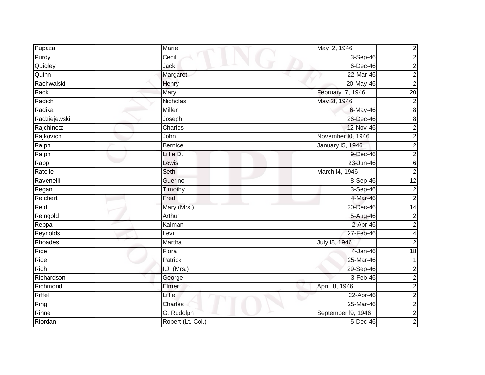| Pupaza       | Marie             | May 12, 1946            | $\overline{\mathbf{c}}$ |
|--------------|-------------------|-------------------------|-------------------------|
| Purdy        | Cecil             | 3-Sep-46                | $\overline{2}$          |
| Quigley      | Jack              | $6$ -Dec-46             | $\overline{2}$          |
| Quinn        | Margaret          | $22-Mar-46$             | $\overline{2}$          |
| Rachwalski   | Henry             | 20-May-46               | $\overline{2}$          |
| Rack         | Mary              | February I7, 1946       | $\overline{20}$         |
| Radich       | Nicholas          | May 2l, 1946            | $\overline{2}$          |
| Radika       | <b>Miller</b>     | 6-May-46                | $\overline{8}$          |
| Radziejewski | Joseph            | 26-Dec-46               | $\overline{8}$          |
| Rajchinetz   | Charles           | 12-Nov-46               | $\overline{2}$          |
| Rajkovich    | John              | November I0, 1946       | $\overline{2}$          |
| Ralph        | <b>Bernice</b>    | <b>January 15, 1946</b> | $\overline{2}$          |
| Ralph        | Lillie D.         | 9-Dec-46                | $\overline{2}$          |
| Rapp         | Lewis             | 23-Jun-46               | $\overline{6}$          |
| Ratelle      | Seth              | March I4, 1946          | $\overline{2}$          |
| Ravenelli    | Guerino           | 8-Sep-46                | 12                      |
| Regan        | Timothy           | $3-Sep-46$              | $\overline{2}$          |
| Reichert     | Fred              | 4-Mar-46                | $\overline{2}$          |
| Reid         | Mary (Mrs.)       | 20-Dec-46               | 14                      |
| Reingold     | Arthur            | 5-Aug-46                | $\overline{2}$          |
| Reppa        | Kalman            | 2-Apr-46                | $\overline{c}$          |
| Reynolds     | Levi              | 27-Feb-46               | $\overline{\mathbf{4}}$ |
| Rhoades      | Martha            | July 18, 1946           | $\overline{2}$          |
| Rice         | Flora             | 4-Jan-46                | 18                      |
| Rice         | Patrick           | 25-Mar-46               | $\mathbf{1}$            |
| Rich         | I.J. (Mrs.)       | 29-Sep-46               | $\overline{c}$          |
| Richardson   | George            | $3-Feb-46$              | $\overline{2}$          |
| Richmond     | Elmer             | April 18, 1946          | $\overline{2}$          |
| Riffel       | Lillie            | 22-Apr-46               | $\overline{2}$          |
| Ring         | <b>Charles</b>    | 25-Mar-46               | $\overline{2}$          |
| Rinne        | G. Rudolph        | September I9, 1946      | $\overline{2}$          |
| Riordan      | Robert (Lt. Col.) | $5$ -Dec-46             | $\overline{2}$          |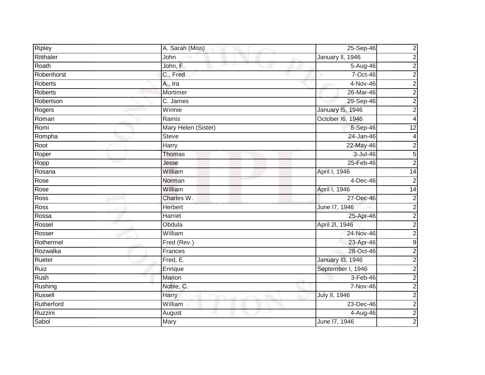| <b>Ripley</b> | A. Sarah (Miss)        | 25-Sep-46               | $\overline{\mathbf{c}}$ |
|---------------|------------------------|-------------------------|-------------------------|
| Ritthaler     | John                   | January II, 1946        | $\overline{2}$          |
| Roath         | John, F.               | 5-Aug-46                | $\overline{2}$          |
| Robenhorst    | C., Fred               | 7-Oct-46                | $\overline{2}$          |
| Roberts       | A., Ira                | $4-Nov-46$              | $\overline{2}$          |
| Roberts       | Mortimer               | 26-Mar-46               | $\overline{2}$          |
| Robertson     | $\overline{C}$ . James | 29-Sep-46               | $\overline{2}$          |
| Rogers        | Winnie                 | <b>January 15, 1946</b> | $\overline{2}$          |
| Roman         | Ramis                  | October I6, 1946        | 4                       |
| Romi          | Mary Helen (Sister)    | 8-Sep-46                | 12                      |
| Rompha        | <b>Steve</b>           | 24-Jan-46               | 4                       |
| Root          | Harry                  | 22-May-46               | $\overline{2}$          |
| Roper         | Thomas                 | 3-Jul-46                | $\overline{5}$          |
| Ropp          | Jesse                  | 25-Feb-46               | $\overline{2}$          |
| Rosana        | William                | April I, 1946           | 14                      |
| Rose          | Norman                 | $4-Dec-46$              | $\overline{2}$          |
| Rose          | William                | April I, 1946           | $\overline{14}$         |
| Ross          | Charles W.             | 27-Dec-46               | $\mathbf 2$             |
| Ross          | <b>Herbert</b>         | June 17, 1946           | $\overline{2}$          |
| Rossa         | <b>Harriet</b>         | 25-Apr-46               | $\overline{2}$          |
| Rossel        | Obdula                 | April 2I, 1946          | $\overline{2}$          |
| Rosser        | William                | 24-Nov-46               | $\overline{2}$          |
| Rothermel     | Fred (Rev.)            | 23-Apr-46               | $\overline{9}$          |
| Rozwalka      | Frances                | 28-Oct-46               | $\overline{2}$          |
| Rueter        | Fred, $E$ .            | <b>January 10, 1946</b> | $\overline{2}$          |
| <b>Ruiz</b>   | Enrique                | September I, 1946       | $\overline{2}$          |
| <b>Rush</b>   | <b>Marion</b>          | $3-Feb-46$              | $\overline{2}$          |
| Rushing       | Noble, C.              | 7-Nov-46                | $\overline{2}$          |
| Russell       | Harry                  | July II, 1946           | $\overline{2}$          |
| Rutherford    | William                | 23-Dec-46               | $\overline{2}$          |
| Ruzzini       | August                 | 4-Aug-46                | $\overline{2}$          |
| Sabol         | Mary                   | June 17, 1946           | $\overline{2}$          |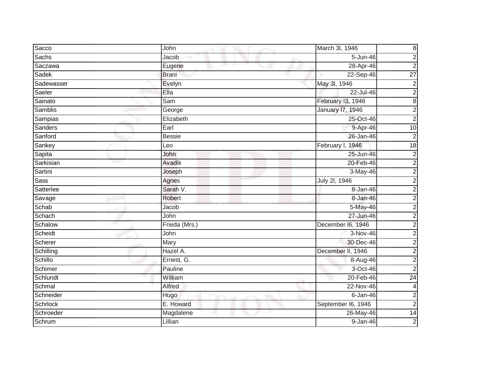| Sacco           | John                       | March 3l, 1946          | $\bf8$                  |
|-----------------|----------------------------|-------------------------|-------------------------|
| Sachs           | Jacob                      | 5-Jun-46                | $\overline{c}$          |
| Saczawa         | Eugene                     | 28-Apr-46               | $\overline{2}$          |
| Sadek           | <b>Brani</b>               | 22-Sep-46               | $\overline{27}$         |
| Sadewasser      | Evelyn                     | May 3l, 1946            | $\overline{2}$          |
| Saeler          | Ella                       | $22$ -Jul-46            | $\overline{2}$          |
| Sainato         | Sam                        | February I3, 1946       | $\overline{8}$          |
| Samblis         | George                     | <b>January 17, 1946</b> | $\overline{2}$          |
| Sampias         | Elizabeth                  | 25-Oct-46               | $\overline{2}$          |
| <b>Sanders</b>  | Earl                       | 9-Apr-46                | 10                      |
| Sanford         | <b>Bessie</b>              | 26-Jan-46               | $\overline{2}$          |
| Sankey          | Leo                        | February I, 1946        | $\overline{18}$         |
| Sapita          | John                       | 25-Jun-46               | $\overline{\mathbf{c}}$ |
| Sarkisian       | Avadik                     | 20-Feb-46               | $\overline{2}$          |
| Sartini         | Joseph                     | $3-May-46$              | $\overline{2}$          |
| Sass            | Agnes                      | July 2l, 1946           | $\boldsymbol{2}$        |
| Satterlee       | Sarah V.                   | 8-Jan-46                | $\overline{2}$          |
| Savage          | Robert                     | 8-Jan-46                | $\overline{2}$          |
| Schab           | Jacob                      | 5-May-46                | $\overline{2}$          |
| Schach          | John                       | 27-Jun-46               | $\overline{2}$          |
| Schalow         | Frieda (Mrs.)              | December I6, 1946       | $\overline{2}$          |
| Scheidt         | John                       | $3-Nov-46$              | $\overline{2}$          |
| Scherer         | Mary                       | 30-Dec-46               | $\overline{2}$          |
| Schilling       | Hazel A.                   | December II, 1946       | $\overline{2}$          |
| Schillo         | Ernest, G.                 | 8-Aug-46                | $\overline{2}$          |
| Schimer         | Pauline                    | 3-Oct-46                | $\overline{2}$          |
| Schlundt        | William                    | 20-Feb-46               | 24                      |
| Schmal          | Alfred                     | 22-Nov-46               | $\overline{\mathbf{4}}$ |
| Schneider       | Hugo<br><b>START START</b> | $6 - Jan-46$            | $\overline{\mathbf{c}}$ |
| <b>Schrlock</b> | E. Howard                  | September I6, 1946      | $\overline{2}$          |
| Schroeder       | Magdalene                  | 26-May-46               | $\overline{14}$         |
| Schrum          | Lillian                    | $9 - Jan-46$            | $\overline{2}$          |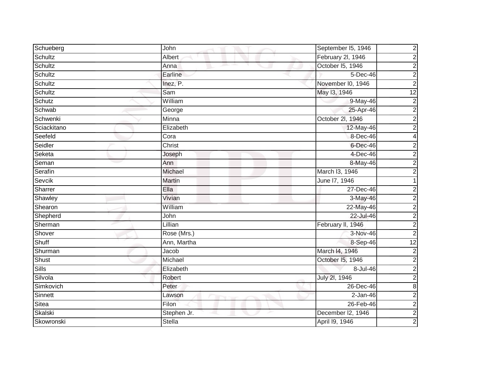| Schueberg    | John        | $\overline{\mathbf{c}}$<br>September I5, 1946 |
|--------------|-------------|-----------------------------------------------|
| Schultz      | Albert      | $\overline{2}$<br>February 2l, 1946           |
| Schultz      | Anna        | October I5, 1946<br>$\overline{2}$            |
| Schultz      | Earline     | $\overline{2}$<br>$5$ -Dec-46                 |
| Schultz      | Inez, P.    | $\overline{2}$<br>November I0, 1946           |
| Schultz      | Sam         | May 13, 1946<br>$\overline{12}$               |
| Schutz       | William     | $\overline{2}$<br>9-May-46                    |
| Schwab       | George      | $\overline{2}$<br>25-Apr-46                   |
| Schwenki     | Minna       | $\overline{2}$<br>October 2l, 1946            |
| Sciackitano  | Elizabeth   | $\overline{2}$<br>12-May-46                   |
| Seefeld      | Cora        | 8-Dec-46<br>4                                 |
| Seidler      | Christ      | $\mathbf{2}^{\mathsf{I}}$<br>6-Dec-46         |
| Seketa       | Joseph      | $\overline{2}$<br>4-Dec-46                    |
| Seman        | Ann         | $\overline{2}$<br>8-May-46                    |
| Serafin      | Michael     | March I3, 1946<br>$\overline{2}$              |
| Sevcik       | Martin      | June 17, 1946                                 |
| Sharrer      | Ella        | 27-Dec-46<br>$\overline{c}$                   |
| Shawley      | Vivian      | 3-May-46<br>$\mathbf 2$                       |
| Shearon      | William     | $\overline{2}$<br>22-May-46                   |
| Shepherd     | John        | $\overline{2}$<br>22-Jul-46                   |
| Sherman      | Lillian     | February II, 1946<br>$\boldsymbol{2}$         |
| Shover       | Rose (Mrs.) | $\overline{2}$<br>3-Nov-46                    |
| Shuff        | Ann, Martha | $\overline{12}$<br>8-Sep-46                   |
| Shurman      | Jacob       | March I4, 1946<br>$\boldsymbol{2}$            |
| Shust        | Michael     | $\overline{2}$<br>October I5, 1946            |
| <b>Sills</b> | Elizabeth   | $\overline{2}$<br>8-Jul-46                    |
| Silvola      | Robert      | $\overline{2}$<br>July 2l, 1946               |
| Simkovich    | Peter       | $\overline{8}$<br>$26$ -Dec-46                |
| Sinnett      | Lawson      | $\overline{2}$<br>$2-Jan-46$                  |
| Sitea        | Filon       | 26-Feb-46<br>$\overline{2}$                   |
| Skalski      | Stephen Jr. | $\overline{2}$<br>December I2, 1946           |
| Skowronski   | Stella      | $\overline{2}$<br>April 19, 1946              |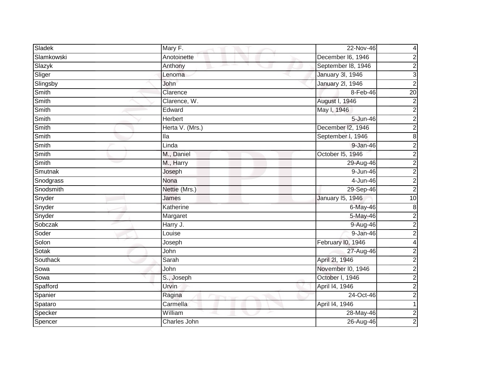| Sladek     | Mary F.         | 22-Nov-46               | 4                       |
|------------|-----------------|-------------------------|-------------------------|
| Slamkowski | Anotoinette     | December I6, 1946       | $\overline{\mathbf{c}}$ |
| Slazyk     | Anthony         | September 18, 1946      | $\overline{2}$          |
| Sliger     | Lenoma          | January 3I, 1946        | $\overline{3}$          |
| Slingsby   | John            | <b>January 2l, 1946</b> | $\overline{2}$          |
| Smith      | Clarence        | 8-Feb-46                | $\overline{20}$         |
| Smith      | Clarence, W.    | August I, 1946          | $\overline{2}$          |
| Smith      | Edward          | May I, 1946             | $\overline{2}$          |
| Smith      | Herbert         | 5-Jun-46                | $\overline{2}$          |
| Smith      | Herta V. (Mrs.) | December I2, 1946       | $\overline{2}$          |
| Smith      | lla             | September I, 1946       | $\overline{8}$          |
| Smith      | Linda           | 9-Jan-46                | $\overline{2}$          |
| Smith      | M., Daniel      | October 15, 1946        | $\overline{2}$          |
| Smith      | M., Harry       | 29-Aug-46               | $\overline{2}$          |
| Smutnak    | Joseph          | $9 - Jun-46$            | $\overline{2}$          |
| Snodgrass  | Nona            | 4-Jun-46                | $\overline{2}$          |
| Snodsmith  | Nettie (Mrs.)   | 29-Sep-46               | $\overline{2}$          |
| Snyder     | James           | <b>January 15, 1946</b> | 10                      |
| Snyder     | Katherine       | 6-May-46                | $\bf8$                  |
| Snyder     | Margaret        | 5-May-46                | $\overline{2}$          |
| Sobczak    | Harry J.        | 9-Aug-46                | $\overline{2}$          |
| Soder      | Louise          | 9-Jan-46                | $\overline{2}$          |
| Solon      | Joseph          | February I0, 1946       | 4                       |
| Sotak      | John            | 27-Aug-46               | $\overline{2}$          |
| Southack   | Sarah           | April 2l, 1946          | $\overline{2}$          |
| Sowa       | John            | November I0, 1946       | $\overline{2}$          |
| Sowa       | S., Joseph      | October I, 1946         | $\overline{2}$          |
| Spafford   | Urvin           | April 14, 1946          | $\overline{2}$          |
| Spanier    | Ragina          | 24-Oct-46               | $\overline{c}$          |
| Spataro    | Carmella        | April 14, 1946          |                         |
| Specker    | William         | 28-May-46               | $\overline{\mathbf{c}}$ |
| Spencer    | Charles John    | 26-Aug-46               | $\overline{2}$          |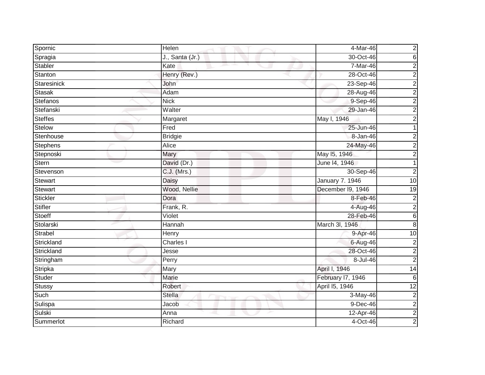| Spornic        | Helen           | 4-Mar-46          |                         |
|----------------|-----------------|-------------------|-------------------------|
| Spragia        | J., Santa (Jr.) | 30-Oct-46         | စ လ                     |
| Stabler        | Kate            | 7-Mar-46          | $\overline{2}$          |
| Stanton        | Henry (Rev.)    | 28-Oct-46         | $\overline{2}$          |
| Staresinick    | John            | 23-Sep-46         | $\overline{2}$          |
| <b>Stasak</b>  | Adam            | 28-Aug-46         | $\boldsymbol{2}$        |
| Stefanos       | <b>Nick</b>     | 9-Sep-46          | $\overline{c}$          |
| Stefanski      | Walter          | 29-Jan-46         | $\overline{2}$          |
| <b>Steffes</b> | Margaret        | May I, 1946       | $\overline{2}$          |
| <b>Stelow</b>  | Fred            | 25-Jun-46         | $\mathbf{1}$            |
| Stenhouse      | <b>Bridgie</b>  | 8-Jan-46          | $\overline{c}$          |
| Stephens       | Alice           | 24-May-46         | $\overline{2}$          |
| Stepnoski      | Mary            | May 15, 1946      | $\overline{2}$          |
| Stern          | David (Dr.)     | June 14, 1946     | 1                       |
| Stevenson      | C.J. (Mrs.)     | 30-Sep-46         | $\overline{2}$          |
| Stewart        | Daisy           | January 7. 1946   | 10                      |
| Stewart        | Wood, Nellie    | December I9, 1946 | 19                      |
| Stickler       | Dora            | 8-Feb-46          | $\overline{\mathbf{c}}$ |
| Stifler        | Frank, R.       | 4-Aug-46          | $\overline{c}$          |
| Stoeff         | Violet          | 28-Feb-46         | $\overline{6}$          |
| Stolarski      | Hannah          | March 3I, 1946    | $\overline{8}$          |
| Strabel        | <b>Henry</b>    | 9-Apr-46          | 10                      |
| Strickland     | Charles I       | 6-Aug-46          | $\boldsymbol{2}$        |
| Strickland     | Jesse           | 28-Oct-46         | $\overline{2}$          |
| Stringham      | Perry           | 8-Jul-46          | $\overline{2}$          |
| Stripka        | Mary            | April I, 1946     | $\overline{14}$         |
| Studer         | <b>Marie</b>    | February 17, 1946 | $\overline{6}$          |
| Stussy         | Robert          | April 15, 1946    | 12                      |
| Such           | <b>Stella</b>   | 3-May-46          | $\overline{2}$          |
| Sulispa        | Jacob           | $9-Dec-46$        | $\overline{2}$          |
| Sulski         | Anna            | 12-Apr-46         | $\overline{\mathbf{c}}$ |
| Summerlot      | Richard         | 4-Oct-46          | $\overline{2}$          |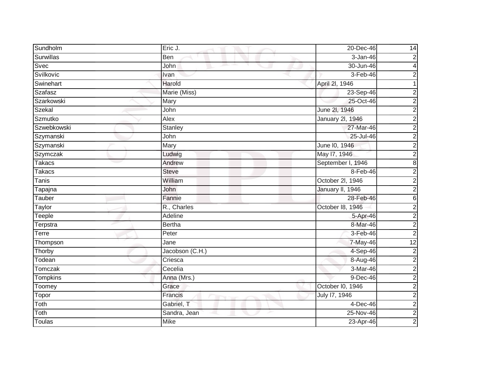| Sundholm         | Eric J.         | 20-Dec-46         | 14                      |
|------------------|-----------------|-------------------|-------------------------|
| <b>Surwillas</b> | Ben             | 3-Jan-46          | $\boldsymbol{2}$        |
| Svec             | John            | 30-Jun-46         | 4                       |
| Svilkovic        | Ivan            | $3-Feb-46$        | $\overline{c}$          |
| Swinehart        | Harold          | April 2l, 1946    |                         |
| Szafasz          | Marie (Miss)    | 23-Sep-46         | $\overline{c}$          |
| Szarkowski       | Mary            | 25-Oct-46         | $\overline{2}$          |
| Szekal           | John            | June 2l, 1946     | $\overline{2}$          |
| Szmutko          | Alex            | January 2l, 1946  | $\overline{2}$          |
| Szwebkowski      | Stanley         | 27-Mar-46         | $\overline{2}$          |
| Szymanski        | John            | 25-Jul-46         | $\overline{2}$          |
| Szymanski        | Mary            | June I0, 1946     | $\overline{\mathbf{c}}$ |
| Szymczak         | Ludwig          | May 17, 1946      | $\overline{2}$          |
| <b>Takacs</b>    | Andrew          | September I, 1946 | $\overline{\mathbf{8}}$ |
| <b>Takacs</b>    | <b>Steve</b>    | $8-Feb-46$        | $\overline{2}$          |
| <b>Tanis</b>     | William         | October 2l, 1946  | $\overline{2}$          |
| Tapajna          | John            | January II, 1946  | $\overline{2}$          |
| Tauber           | Fannie          | 28-Feb-46         | $\,6$                   |
| Taylor           | R., Charles     | October 18, 1946  | $\overline{2}$          |
| Teeple           | Adeline         | 5-Apr-46          | $\overline{2}$          |
| Terpstra         | <b>Bertha</b>   | 8-Mar-46          | $\boldsymbol{2}$        |
| Terre            | Peter           | 3-Feb-46          | $\overline{2}$          |
| Thompson         | Jane            | 7-May-46          | $\overline{12}$         |
| Thorby           | Jacobson (C.H.) | 4-Sep-46          | $\overline{\mathbf{c}}$ |
| Todean           | Criesca         | 8-Aug-46          | $\overline{2}$          |
| Tomczak          | Cecelia         | 3-Mar-46          | $\overline{2}$          |
| Tompkins         | Anna (Mrs.)     | $9-Dec-46$        | $\overline{2}$          |
| Toomey           | Grace           | October I0, 1946  | $\overline{2}$          |
| Topor            | Francis         | July 17, 1946     | $\overline{2}$          |
| Toth             | Gabriel, T      | 4-Dec-46          | $\overline{2}$          |
| Toth             | Sandra, Jean    | 25-Nov-46         | $\overline{2}$          |
| <b>Toulas</b>    | <b>Mike</b>     | 23-Apr-46         | $\overline{2}$          |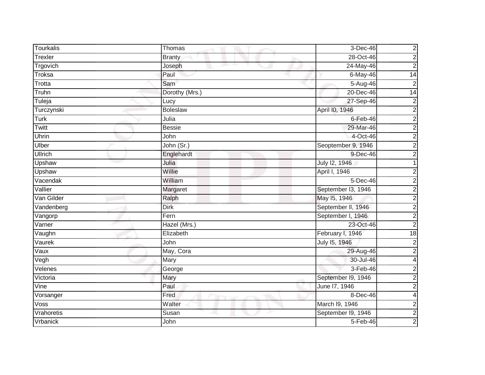| <b>Tourkalis</b>     | Thomas          | 3-Dec-46           | $\overline{\mathbf{c}}$ |
|----------------------|-----------------|--------------------|-------------------------|
| Trexler              | <b>Branty</b>   | 28-Oct-46          | $\overline{2}$          |
| Trgovich             | Joseph          | 24-May-46          | $\overline{2}$          |
| Troksa               | Paul            | 6-May-46           | 14                      |
| Trotta               | Sam             | $5-Aug-46$         | $\overline{2}$          |
| Truhn                | Dorothy (Mrs.)  | 20-Dec-46          | 14                      |
| Tuleja               | Lucy            | 27-Sep-46          | $\overline{2}$          |
| Turczynski           | <b>Boleslaw</b> | April I0, 1946     | $\overline{2}$          |
| Turk                 | Julia           | $6$ -Feb-46        | $\overline{2}$          |
| Twitt                | <b>Bessie</b>   | 29-Mar-46          | $\overline{2}$          |
| Uhrin                | John            | 4-Oct-46           | $\overline{2}$          |
| Ulber                | John (Sr.)      | Seoptember 9, 1946 | $\boldsymbol{2}$        |
| Ullrich              | Englehardt      | 9-Dec-46           | $\overline{2}$          |
| Upshaw               | Julia           | July 12, 1946      |                         |
| Upshaw               | Willie          | April I, 1946      | $\boldsymbol{2}$        |
| Vacendak             | William         | 5-Dec-46           | $\overline{2}$          |
| Vallier              | Margaret        | September I3, 1946 | $\overline{2}$          |
| Van Gilder           | Ralph           | May 15, 1946       | $\overline{2}$          |
| Vandenberg           | <b>Dirk</b>     | September II, 1946 | $\overline{2}$          |
| Vangorp              | Fern            | September I, 1946  | $\overline{2}$          |
| $\overline{V}$ arner | Hazel (Mrs.)    | 23-Oct-46          | $\overline{c}$          |
| Vaughn               | Elizabeth       | February I, 1946   | 18                      |
| Vaurek               | John            | July 15, 1946      | $\overline{\mathbf{c}}$ |
| Vaux                 | May, Cora       | 29-Aug-46          | $\boldsymbol{2}$        |
| Vegh                 | Mary            | 30-Jul-46          | 4                       |
| Velenes              | George          | $3-Feb-46$         | $\overline{\mathbf{c}}$ |
| Victoria             | Mary            | September I9, 1946 | $\overline{2}$          |
| Vine                 | Paul            | June 17, 1946      | $\overline{2}$          |
| Vorsanger            | Fred            | 8-Dec-46           | 4                       |
| Voss                 | Walter          | March I9, 1946     | $\boldsymbol{2}$        |
| Vrahoretis           | Susan           | September I9, 1946 | $\overline{2}$          |
| <b>Vrbanick</b>      | John            | 5-Feb-46           | $\overline{2}$          |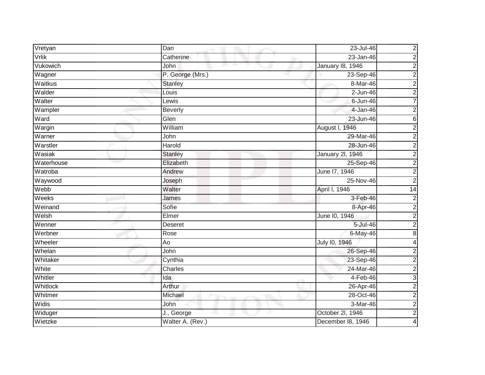| Vretyan    | Dan              | 23-Jul-46               | $\overline{\mathbf{c}}$ |
|------------|------------------|-------------------------|-------------------------|
| Vrlik      | Catherine        | $23 - Jan-46$           | $\overline{2}$          |
| Vukowich   | John<br>ᅩ        | <b>January 18, 1946</b> | $\overline{2}$          |
| Wagner     | P. George (Mrs.) | 23-Sep-46               | $\overline{2}$          |
| Waitkus    | <b>Stanley</b>   | 8-Mar-46                | $\overline{2}$          |
| Walder     | Louis            | $2$ -Jun-46             | $\overline{c}$          |
| Walter     | Lewis            | $6$ -Jun-46             | $\overline{7}$          |
| Wampler    | <b>Beverly</b>   | $4 - Jan-46$            | $\overline{\mathbf{c}}$ |
| Ward       | Glen             | 23-Jun-46               | 6                       |
| Wargin     | William          | August I, 1946          | $\overline{2}$          |
| Warner     | John             | 29-Mar-46               | $\overline{2}$          |
| Warstler   | Harold           | 28-Jun-46               | $\overline{2}$          |
| Wasiak     | <b>Stanley</b>   | <b>January 2l, 1946</b> | $\overline{2}$          |
| Waterhouse | Elizabeth        | 25-Sep-46               | $\overline{2}$          |
| Watroba    | Andrew           | June 17, 1946           | $\overline{2}$          |
| Waywood    | Joseph           | 25-Nov-46               | $\overline{2}$          |
| Webb       | Walter           | April I, 1946           | $\overline{14}$         |
| Weeks      | James            | 3-Feb-46                | $\overline{\mathbf{c}}$ |
| Weinand    | Sofie            | 8-Apr-46                | $\overline{2}$          |
| Welsh      | Elmer            | June 10, 1946           | $\overline{2}$          |
| Wenner     | Deseret          | 5-Jul-46                | $\boldsymbol{2}$        |
| Werbner    | Rose             | 6-May-46                | $\overline{8}$          |
| Wheeler    | Ao               | July 10, 1946           | 4                       |
| Whelan     | John             | 26-Sep-46               | $\overline{c}$          |
| Whitaker   | Cynthia          | 23-Sep-46               | $\overline{2}$          |
| White      | Charles          | 24-Mar-46               | $\overline{2}$          |
| Whitler    | Ida              | $4-Feb-46$              | $\overline{3}$          |
| Whitlock   | Arthur           | 26-Apr-46               | $\overline{2}$          |
| Whitmer    | Michael          | 28-Oct-46               | $\overline{2}$          |
| Widis      | John             | 3-Mar-46                | $\boldsymbol{2}$        |
| Widuger    | J., George       | October 2l, 1946        | $\overline{2}$          |
| Wietzke    | Walter A. (Rev.) | December 18, 1946       | 4                       |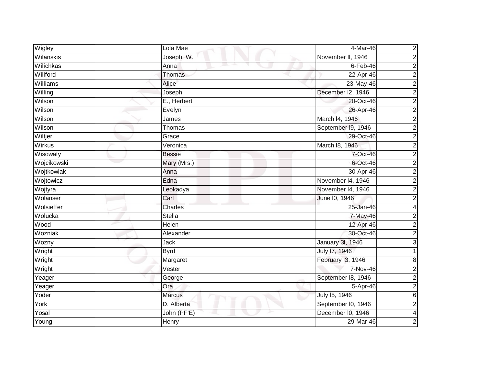| Wigley           | Lola Mae      | 4-Mar-46           | $\overline{\mathbf{c}}$ |
|------------------|---------------|--------------------|-------------------------|
| Wilanskis        | Joseph, W.    | November II, 1946  | $\overline{2}$          |
| <b>Wilichkas</b> | Anna          | $6 - Feb - 46$     | $\overline{2}$          |
| Wiliford         | Thomas        | 22-Apr-46          | $\overline{c}$          |
| Williams         | <b>Alice</b>  | 23-May-46          | $\overline{2}$          |
| Willing          | Joseph        | December I2, 1946  | $\overline{c}$          |
| Wilson           | E., Herbert   | 20-Oct-46          | $\overline{2}$          |
| Wilson           | Evelyn        | 26-Apr-46          | $\overline{2}$          |
| Wilson           | James         | March 14, 1946     | $\overline{2}$          |
| Wilson           | Thomas        | September I9, 1946 | $\overline{2}$          |
| Wiltjer          | Grace         | 29-Oct-46          | $\overline{2}$          |
| Wirkus           | Veronica      | March 18, 1946     | $\overline{\mathbf{c}}$ |
| Wisowaty         | <b>Bessie</b> | 7-Oct-46           | $\overline{2}$          |
| Wojcikowski      | Mary (Mrs.)   | 6-Oct-46           | $\overline{2}$          |
| Wojtkowiak       | Anna          | 30-Apr-46          | $\overline{2}$          |
| Wojtowicz        | Edna          | November 14, 1946  | $\overline{2}$          |
| Wojtyra          | Leokadya      | November 14, 1946  | $\overline{2}$          |
| Wolanser         | Carl          | June 10, 1946      | $\overline{c}$          |
| Wolsieffer       | Charles       | 25-Jan-46          | $\overline{\mathbf{4}}$ |
| Wolucka          | Stella        | 7-May-46           | $\overline{2}$          |
| Wood             | Helen         | 12-Apr-46          | $\boldsymbol{2}$        |
| Wozniak          | Alexander     | 30-Oct-46          | $\overline{2}$          |
| Wozny            | <b>Jack</b>   | January 3I, 1946   | 3                       |
| Wright           | <b>Byrd</b>   | July 17, 1946      |                         |
| Wright           | Margaret      | February I3, 1946  | 8                       |
| Wright           | Vester        | 7-Nov-46           | $\overline{2}$          |
| Yeager           | George        | September 18, 1946 | $\overline{2}$          |
| Yeager           | Ora           | 5-Apr-46           | $\overline{2}$          |
| Yoder            | <b>Marcus</b> | July 15, 1946      | $\overline{6}$          |
| York             | D. Alberta    | September I0, 1946 | $\overline{2}$          |
| Yosal            | John (PF'E)   | December I0, 1946  | $\overline{\mathbf{4}}$ |
| Young            | Henry         | 29-Mar-46          | $\overline{2}$          |